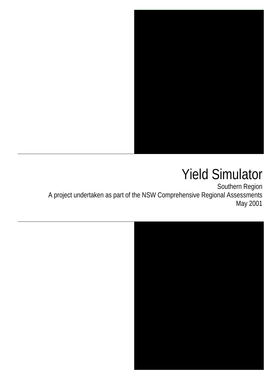

# Yield Simulator

Southern Region A project undertaken as part of the NSW Comprehensive Regional Assessments May 2001

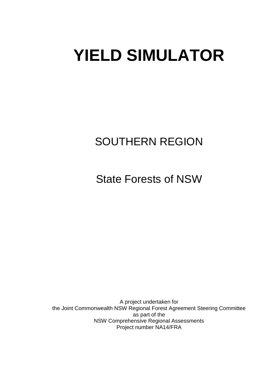# **YIELD SIMULATOR**

# SOUTHERN REGION

State Forests of NSW

A project undertaken for the Joint Commonwealth NSW Regional Forest Agreement Steering Committee as part of the NSW Comprehensive Regional Assessments Project number NA14/FRA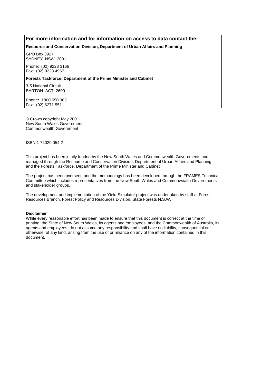#### **For more information and for information on access to data contact the:**

#### **Resource and Conservation Division, Department of Urban Affairs and Planning**

GPO Box 3927 SYDNEY NSW 2001

Phone: (02) 9228 3166 Fax: (02) 9228 4967

#### **Forests Taskforce, Department of the Prime Minister and Cabinet**

3-5 National Circuit BARTON ACT 2600

Phone**:** 1800 650 983 Fax: (02) 6271 5511

© Crown copyright May 2001 New South Wales Government Commonwealth Government

ISBN 1 74029 054 2

This project has been jointly funded by the New South Wales and Commonwealth Governments and managed through the Resource and Conservation Division, Department of Urban Affairs and Planning, and the Forests Taskforce, Department of the Prime Minister and Cabinet

The project has been overseen and the methodology has been developed through the FRAMES Technical Committee which includes representatives from the New South Wales and Commonwealth Governments and stakeholder groups.

The development and implementation of the Yield Simulator project was undertaken by staff at Forest Resources Branch, Forest Policy and Resources Division, State Forests N.S.W.

#### **Disclaimer**

While every reasonable effort has been made to ensure that this document is correct at the time of printing, the State of New South Wales, its agents and employees, and the Commonwealth of Australia, its agents and employees, do not assume any responsibility and shall have no liability, consequential or otherwise, of any kind, arising from the use of or reliance on any of the information contained in this document.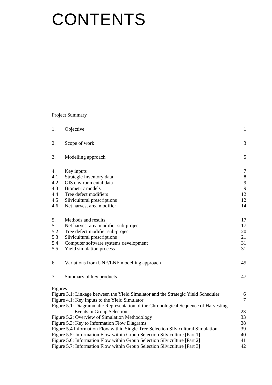# **CONTENTS**

Project Summary

| 1.                                                                              | Objective                                                                           | $\mathbf{1}$   |  |  |
|---------------------------------------------------------------------------------|-------------------------------------------------------------------------------------|----------------|--|--|
| 2.                                                                              | Scope of work                                                                       | 3              |  |  |
| 3.                                                                              | Modelling approach                                                                  | 5              |  |  |
| 4.                                                                              | Key inputs                                                                          | $\tau$         |  |  |
| 4.1                                                                             | Strategic Inventory data                                                            | $\,8\,$        |  |  |
| 4.2                                                                             | GIS environmental data                                                              | 9              |  |  |
| 4.3                                                                             | <b>Biometric models</b>                                                             | 9              |  |  |
| 4.4                                                                             | Tree defect modifiers                                                               | 12             |  |  |
| 4.5                                                                             | Silvicultural prescriptions                                                         | 12             |  |  |
| 4.6                                                                             | Net harvest area modifier                                                           | 14             |  |  |
| 5.                                                                              | Methods and results                                                                 | 17             |  |  |
| 5.1                                                                             | Net harvest area modifier sub-project                                               | 17             |  |  |
| 5.2                                                                             | Tree defect modifier sub-project                                                    | 20             |  |  |
| 5.3                                                                             | Silvicultural prescriptions                                                         | 21             |  |  |
| 5.4                                                                             | Computer software systems development                                               | 31             |  |  |
| 5.5                                                                             | Yield simulation process                                                            | 31             |  |  |
| 6.                                                                              | Variations from UNE/LNE modelling approach                                          | 45             |  |  |
| 7.                                                                              | Summary of key products                                                             | 47             |  |  |
| Figures                                                                         |                                                                                     |                |  |  |
|                                                                                 | Figure 3.1: Linkage between the Yield Simulator and the Strategic Yield Scheduler   | 6              |  |  |
|                                                                                 | Figure 4.1: Key Inputs to the Yield Simulator                                       | $\overline{7}$ |  |  |
|                                                                                 | Figure 5.1: Diagrammatic Representation of the Chronological Sequence of Harvesting |                |  |  |
|                                                                                 | Events in Group Selection                                                           | 23             |  |  |
|                                                                                 | Figure 5.2: Overview of Simulation Methodology                                      | 33             |  |  |
|                                                                                 | Figure 5.3: Key to Information Flow Diagrams                                        | 38             |  |  |
|                                                                                 | Figure 5.4 Information Flow within Single Tree Selection Silvicultural Simulation   | 39             |  |  |
|                                                                                 | Figure 5.5: Information Flow within Group Selection Silviculture [Part 1]           | 40             |  |  |
|                                                                                 | Figure 5.6: Information Flow within Group Selection Silviculture [Part 2]           | 41             |  |  |
| 42<br>Figure 5.7: Information Flow within Group Selection Silviculture [Part 3] |                                                                                     |                |  |  |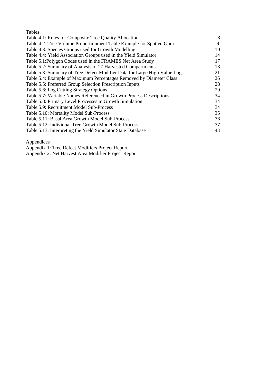| Tables                                                                    |    |
|---------------------------------------------------------------------------|----|
| Table 4.1: Rules for Composite Tree Quality Allocation                    | 8  |
| Table 4.2: Tree Volume Proportionment Table Example for Spotted Gum       | 9  |
| Table 4.3: Species Groups used for Growth Modelling                       | 10 |
| Table 4.4: Yield Association Groups used in the Yield Simulator           | 14 |
| Table 5.1: Polygon Codes used in the FRAMES Net Area Study                | 17 |
| Table 5.2: Summary of Analysis of 27 Harvested Compartments               | 18 |
| Table 5.3: Summary of Tree Defect Modifier Data for Large High Value Logs | 21 |
| Table 5.4: Example of Maximum Percentages Removed by Diameter Class       | 26 |
| Table 5.5: Preferred Group Selection Prescription Inputs                  | 28 |
| Table 5.6: Log Cutting Strategy Options                                   | 29 |
| Table 5.7: Variable Names Referenced in Growth Process Descriptions       | 34 |
| Table 5.8: Primary Level Processes in Growth Simulation                   | 34 |
| Table 5.9: Recruitment Model Sub-Process                                  | 34 |
| Table 5.10: Mortality Model Sub-Process                                   | 35 |
| Table 5.11: Basal Area Growth Model Sub-Process                           | 36 |
| Table 5.12: Individual Tree Growth Model Sub-Process                      | 37 |
| Table 5.13: Interpreting the Yield Simulator State Database               | 43 |

Appendices

Appendix 1: Tree Defect Modifiers Project Report

Appendix 2: Net Harvest Area Modifier Project Report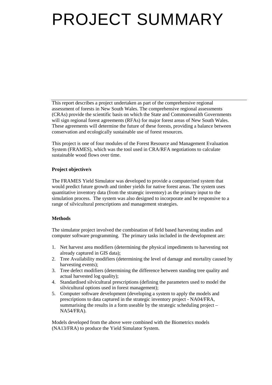# PROJECT SUMMARY

This report describes a project undertaken as part of the comprehensive regional assessment of forests in New South Wales. The comprehensive regional assessments (CRAs) provide the scientific basis on which the State and Commonwealth Governments will sign regional forest agreements (RFAs) for major forest areas of New South Wales. These agreements will determine the future of these forests, providing a balance between conservation and ecologically sustainable use of forest resources.

This project is one of four modules of the Forest Resource and Management Evaluation System (FRAMES), which was the tool used in CRA/RFA negotiations to calculate sustainable wood flows over time.

# **Project objective/s**

The FRAMES Yield Simulator was developed to provide a computerised system that would predict future growth and timber yields for native forest areas. The system uses quantitative inventory data (from the strategic inventory) as the primary input to the simulation process. The system was also designed to incorporate and be responsive to a range of silvicultural prescriptions and management strategies.

# **Methods**

The simulator project involved the combination of field based harvesting studies and computer software programming. The primary tasks included in the development are:

- 1. Net harvest area modifiers (determining the physical impediments to harvesting not already captured in GIS data);
- 2. Tree Availability modifiers (determining the level of damage and mortality caused by harvesting events);
- 3. Tree defect modifiers (determining the difference between standing tree quality and actual harvested log quality);
- 4. Standardised silvicultural prescriptions (defining the parameters used to model the silvicultural options used in forest management);
- 5. Computer software development (developing a system to apply the models and prescriptions to data captured in the strategic inventory project - NA04/FRA, summarising the results in a form useable by the strategic scheduling project – NA54/FRA).

Models developed from the above were combined with the Biometrics models (NA13/FRA) to produce the Yield Simulator System.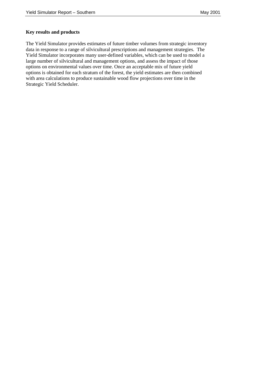### **Key results and products**

The Yield Simulator provides estimates of future timber volumes from strategic inventory data in response to a range of silvicultural prescriptions and management strategies. The Yield Simulator incorporates many user-defined variables, which can be used to model a large number of silvicultural and management options, and assess the impact of those options on environmental values over time. Once an acceptable mix of future yield options is obtained for each stratum of the forest, the yield estimates are then combined with area calculations to produce sustainable wood flow projections over time in the Strategic Yield Scheduler.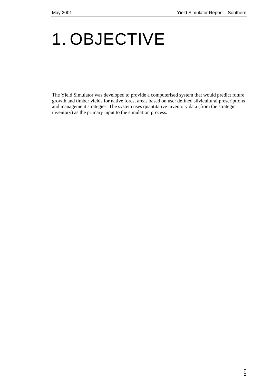# 1. OBJECTIVE

The Yield Simulator was developed to provide a computerised system that would predict future growth and timber yields for native forest areas based on user defined silvicultural prescriptions and management strategies. The system uses quantitative inventory data (from the strategic inventory) as the primary input to the simulation process.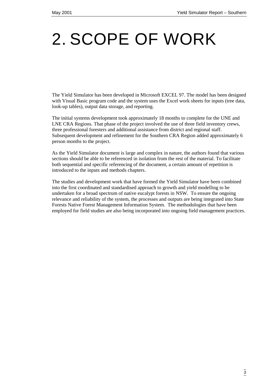# 2. SCOPE OF WORK

The Yield Simulator has been developed in Microsoft EXCEL 97. The model has been designed with Visual Basic program code and the system uses the Excel work sheets for inputs (tree data, look-up tables), output data storage, and reporting.

The initial systems development took approximately 18 months to complete for the UNE and LNE CRA Regions. That phase of the project involved the use of three field inventory crews, three professional foresters and additional assistance from district and regional staff. Subsequent development and refinement for the Southern CRA Region added approximately 6 person months to the project.

As the Yield Simulator document is large and complex in nature, the authors found that various sections should be able to be referenced in isolation from the rest of the material. To facilitate both sequential and specific referencing of the document, a certain amount of repetition is introduced to the inputs and methods chapters.

The studies and development work that have formed the Yield Simulator have been combined into the first coordinated and standardised approach to growth and yield modelling to be undertaken for a broad spectrum of native eucalypt forests in NSW. To ensure the ongoing relevance and reliability of the system, the processes and outputs are being integrated into State Forests Native Forest Management Information System. The methodologies that have been employed for field studies are also being incorporated into ongoing field management practices.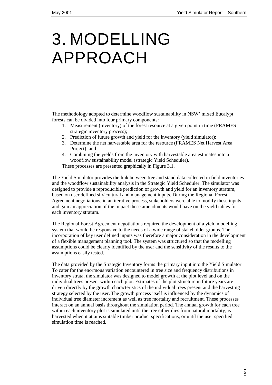# 3. MODELLING APPROACH

The methodology adopted to determine woodflow sustainability in NSW' mixed Eucalypt forests can be divided into four primary components:

- 1. Measurement (inventory) of the forest resource at a given point in time (FRAMES strategic inventory process);
- 2. Prediction of future growth and yield for the inventory (yield simulator);
- 3. Determine the net harvestable area for the resource (FRAMES Net Harvest Area Project); and
- 4. Combining the yields from the inventory with harvestable area estimates into a woodflow sustainability model (strategic Yield Scheduler).

These processes are presented graphically in Figure 3.1.

The Yield Simulator provides the link between tree and stand data collected in field inventories and the woodflow sustainability analysis in the Strategic Yield Scheduler. The simulator was designed to provide a reproducible prediction of growth and yield for an inventory stratum, based on user defined silvicultural and management inputs. During the Regional Forest Agreement negotiations, in an iterative process, stakeholders were able to modify these inputs and gain an appreciation of the impact these amendments would have on the yield tables for each inventory stratum.

The Regional Forest Agreement negotiations required the development of a yield modelling system that would be responsive to the needs of a wide range of stakeholder groups. The incorporation of key user defined inputs was therefore a major consideration in the development of a flexible management planning tool. The system was structured so that the modelling assumptions could be clearly identified by the user and the sensitivity of the results to the assumptions easily tested.

The data provided by the Strategic Inventory forms the primary input into the Yield Simulator. To cater for the enormous variation encountered in tree size and frequency distributions in inventory strata, the simulator was designed to model growth at the plot level and on the individual trees present within each plot. Estimates of the plot structure in future years are driven directly by the growth characteristics of the individual trees present and the harvesting strategy selected by the user. The growth process itself is influenced by the dynamics of individual tree diameter increment as well as tree mortality and recruitment. These processes interact on an annual basis throughout the simulation period. The annual growth for each tree within each inventory plot is simulated until the tree either dies from natural mortality, is harvested when it attains suitable timber product specifications, or until the user specified simulation time is reached.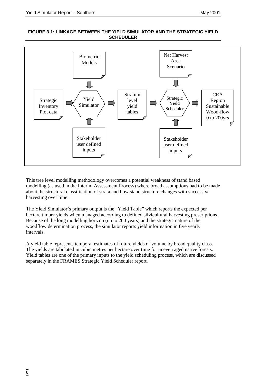#### **FIGURE 3.1: LINKAGE BETWEEN THE YIELD SIMULATOR AND THE STRATEGIC YIELD SCHEDULER**



This tree level modelling methodology overcomes a potential weakness of stand based modelling (as used in the Interim Assessment Process) where broad assumptions had to be made about the structural classification of strata and how stand structure changes with successive harvesting over time.

The Yield Simulator's primary output is the "Yield Table" which reports the expected per hectare timber yields when managed according to defined silvicultural harvesting prescriptions. Because of the long modelling horizon (up to 200 years) and the strategic nature of the woodflow determination process, the simulator reports yield information in five yearly intervals.

A yield table represents temporal estimates of future yields of volume by broad quality class. The yields are tabulated in cubic metres per hectare over time for uneven aged native forests. Yield tables are one of the primary inputs to the yield scheduling process, which are discussed separately in the FRAMES Strategic Yield Scheduler report.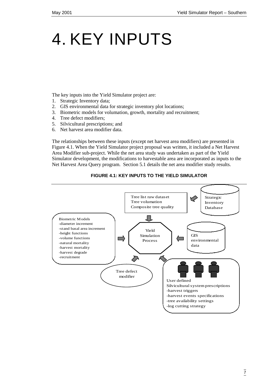# 4. KEY INPUTS

The key inputs into the Yield Simulator project are:

- 1. Strategic Inventory data;
- 2. GIS environmental data for strategic inventory plot locations;
- 3. Biometric models for volumation, growth, mortality and recruitment;
- 4. Tree defect modifiers;
- 5. Silvicultural prescriptions; and
- 6. Net harvest area modifier data.

The relationships between these inputs (except net harvest area modifiers) are presented in Figure 4.1. When the Yield Simulator project proposal was written, it included a Net Harvest Area Modifier sub-project. While the net area study was undertaken as part of the Yield Simulator development, the modifications to harvestable area are incorporated as inputs to the Net Harvest Area Query program. Section 5.1 details the net area modifier study results.



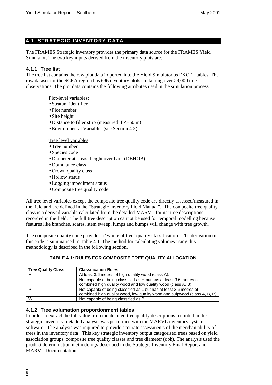# **4.1 STRATEGIC INVENTORY DATA**

The FRAMES Strategic Inventory provides the primary data source for the FRAMES Yield Simulator. The two key inputs derived from the inventory plots are:

# **4.1.1 Tree list**

The tree list contains the raw plot data imported into the Yield Simulator as EXCEL tables. The raw dataset for the SCRA region has 696 inventory plots containing over 29,000 tree observations. The plot data contains the following attributes used in the simulation process.

Plot-level variables:

- Stratum identifier
- Plot number
- Site height
- Distance to filter strip (measured if  $\leq 50$  m)
- Environmental Variables (see Section 4.2)

Tree level variables

- Tree number
- Species code
- Diameter at breast height over bark (DBHOB)
- Dominance class
- Crown quality class
- Hollow status
- Logging impediment status
- Composite tree quality code

All tree level variables except the composite tree quality code are directly assessed/measured in the field and are defined in the "Strategic Inventory Field Manual". The composite tree quality class is a derived variable calculated from the detailed MARVL format tree descriptions recorded in the field. The full tree description cannot be used for temporal modelling because features like branches, scares, stem sweep, lumps and bumps will change with tree growth.

The composite quality code provides a 'whole of tree' quality classification. The derivation of this code is summarised in Table 4.1. The method for calculating volumes using this methodology is described in the following section.

| <b>Tree Quality Class</b> | <b>Classification Rules</b>                                                                                                                      |
|---------------------------|--------------------------------------------------------------------------------------------------------------------------------------------------|
|                           | At least 3.6 metres of high quality wood (class A).                                                                                              |
|                           | Not capable of being classified as H but has at least 3.6 metres of<br>combined high quality wood and low quality wood (class A, B)              |
| D                         | Not capable of being classified as L but has at least 3.6 metres of<br>combined high quality wood, low quality wood and pulpwood (class A, B, P) |
| W                         | Not capable of being classified as P                                                                                                             |

# **TABLE 4.1: RULES FOR COMPOSITE TREE QUALITY ALLOCATION**

# **4.1.2 Tree volumation proportionment tables**

In order to extract the full value from the detailed tree quality descriptions recorded in the strategic inventory, detailed analysis was performed with the MARVL inventory system software. The analysis was required to provide accurate assessments of the merchantability of trees in the inventory data. This key strategic inventory output categorised trees based on yield association groups, composite tree quality classes and tree diameter (dbh). The analysis used the product determination methodology described in the Strategic Inventory Final Report and MARVL Documentation.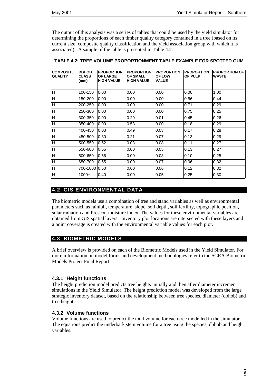The output of this analysis was a series of tables that could be used by the yield simulator for determining the proportions of each timber quality category contained in a tree (based on its current size, composite quality classification and the yield association group with which it is associated). A sample of the table is presented in Table 4.2.

| <b>COMPOSITE</b><br><b>QUALITY</b> | <b>DBHOB</b><br><b>CLASS</b><br>(mm) | <b>PROPORTION</b><br><b>OF LARGE</b><br><b>HIGH VALUE</b> | <b>PROPORTION</b><br><b>OF SMALL</b><br><b>HIGH VALUE</b> | <b>PROPORTION</b><br><b>OF LOW</b><br><b>VALUE</b> | <b>PROPORTION</b><br>OF PULP | <b>PROPORTION OF</b><br><b>WASTE</b> |
|------------------------------------|--------------------------------------|-----------------------------------------------------------|-----------------------------------------------------------|----------------------------------------------------|------------------------------|--------------------------------------|
|                                    |                                      |                                                           |                                                           |                                                    |                              |                                      |
| lн                                 | 100-150                              | 0.00                                                      | 0.00                                                      | 0.00                                               | 0.00                         | 1.00                                 |
| H                                  | 150-200                              | 0.00                                                      | 0.00                                                      | 0.00                                               | 0.56                         | 0.44                                 |
| lн                                 | 200-250                              | 0.00                                                      | 0.00                                                      | 0.00                                               | 0.71                         | 0.29                                 |
| H                                  | 250-300                              | 0.00                                                      | 0.00                                                      | 0.00                                               | 0.75                         | 0.25                                 |
| lн                                 | 300-350                              | 0.00                                                      | 0.29                                                      | 0.01                                               | 0.45                         | 0.26                                 |
| Iн                                 | 350-400                              | 0.00                                                      | 0.53                                                      | 0.00                                               | 0.18                         | 0.29                                 |
| Iн                                 | 400-450                              | 0.03                                                      | 0.49                                                      | 0.03                                               | 0.17                         | 0.28                                 |
| H                                  | 450-500                              | 0.30                                                      | 0.21                                                      | 0.07                                               | 0.13                         | 0.29                                 |
| $\overline{\mathsf{H}}$            | 500-550                              | 0.52                                                      | 0.03                                                      | 0.08                                               | 0.11                         | 0.27                                 |
| H                                  | 550-600                              | 0.55                                                      | 0.00                                                      | 0.05                                               | 0.13                         | 0.27                                 |
| Iн                                 | 600-650                              | 0.56                                                      | 0.00                                                      | 0.08                                               | 0.10                         | 0.25                                 |
| H                                  | 650-700                              | 0.55                                                      | 0.00                                                      | 0.07                                               | 0.06                         | 0.32                                 |
| H                                  | 700-1000 0.50                        |                                                           | 0.00                                                      | 0.06                                               | 0.12                         | 0.32                                 |
| Iн                                 | $1000+$                              | 0.40                                                      | 0.00                                                      | 0.05                                               | 0.25                         | 0.30                                 |

#### **TABLE 4.2: TREE VOLUME PROPORTIONMENT TABLE EXAMPLE FOR SPOTTED GUM**

# **4.2 GIS ENVIRONMENTAL DATA**

The biometric models use a combination of tree and stand variables as well as environmental parameters such as rainfall, temperature, slope, soil depth, soil fertility, topographic position, solar radiation and Prescott moisture index. The values for these environmental variables are obtained from GIS spatial layers. Inventory plot locations are intersected with these layers and a point coverage is created with the environmental variable values for each plot.

# **4.3 BIOMETRIC MODELS**

A brief overview is provided on each of the Biometric Models used in the Yield Simulator. For more information on model forms and development methodologies refer to the SCRA Biometric Models Project Final Report.

#### **4.3.1 Height functions**

The height prediction model predicts tree heights initially and then after diameter increment simulations in the Yield Simulator. The height prediction model was developed from the large strategic inventory dataset, based on the relationship between tree species, diameter (dbhob) and tree height.

### **4.3.2 Volume functions**

Volume functions are used to predict the total volume for each tree modelled in the simulator. The equations predict the underbark stem volume for a tree using the species, dbhob and height variables.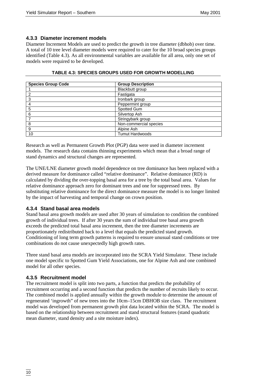# **4.3.3 Diameter increment models**

Diameter Increment Models are used to predict the growth in tree diameter (dbhob) over time. A total of 10 tree level diameter models were required to cater for the 10 broad species groups identified (Table 4.3). As all environmental variables are available for all area, only one set of models were required to be developed.

| <b>Species Group Code</b> | <b>Group Description</b> |  |
|---------------------------|--------------------------|--|
|                           | Blackbutt group          |  |
| ົ                         | Fastigata                |  |
| 3                         | Ironbark group           |  |
| 4                         | Peppermint group         |  |
| 5                         | Spotted Gum              |  |
| 6                         | Silvertop Ash            |  |
|                           | Stringybark group        |  |
| 8                         | Non-commercial species   |  |
| 9                         | Alpine Ash               |  |
| 10                        | <b>Tumut Hardwoods</b>   |  |

#### **TABLE 4.3: SPECIES GROUPS USED FOR GROWTH MODELLING**

Research as well as Permanent Growth Plot (PGP) data were used in diameter increment models. The research data contains thinning experiments which mean that a broad range of stand dynamics and structural changes are represented.

The UNE/LNE diameter growth model dependence on tree dominance has been replaced with a derived measure for dominance called "relative dominance". Relative dominance (RD) is calculated by dividing the over-topping basal area for a tree by the total basal area. Values for relative dominance approach zero for dominant trees and one for suppressed trees. By substituting relative dominance for the direct dominance measure the model is no longer limited by the impact of harvesting and temporal change on crown position.

# **4.3.4 Stand basal area models**

Stand basal area growth models are used after 30 years of simulation to condition the combined growth of individual trees. If after 30 years the sum of individual tree basal area growth exceeds the predicted total basal area increment, then the tree diameter increments are proportionately redistributed back to a level that equals the predicted stand growth. Conditioning of long term growth patterns is required to ensure unusual stand conditions or tree combinations do not cause unexpectedly high growth rates.

Three stand basal area models are incorporated into the SCRA Yield Simulator. These include one model specific to Spotted Gum Yield Associations, one for Alpine Ash and one combined model for all other species.

# **4.3.5 Recruitment model**

The recruitment model is split into two parts, a function that predicts the probability of recruitment occurring and a second function that predicts the number of recruits likely to occur. The combined model is applied annually within the growth module to determine the amount of regenerated 'ingrowth" of new trees into the 10cm–15cm DBHOB size class. The recruitment model was developed from permanent growth plot data located within the SCRA. The model is based on the relationship between recruitment and stand structural features (stand quadratic mean diameter, stand density and a site moisture index).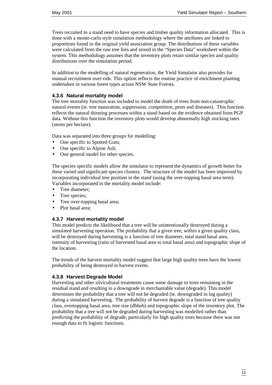Trees recruited to a stand need to have species and timber quality information allocated. This is done with a monte-carlo style simulation methodology where the attributes are linked to proportions found in the original yield association group. The distributions of these variables were calculated from the raw tree lists and stored in the "Species Data" worksheet within the system. This methodology assumes that the inventory plots retain similar species and quality distributions over the simulation period.

In addition to the modelling of natural regeneration, the Yield Simulator also provides for manual recruitment over-ride. This option reflects the routine practice of enrichment planting undertaken in various forest types across NSW State Forests.

#### **4.3.6 Natural mortality model**

The tree mortality function was included to model the death of trees from non-catastrophic natural events (ie. tree maturation, suppression, competition, pests and diseases). This function reflects the natural thinning processes within a stand based on the evidence obtained from PGP data. Without this function the inventory plots would develop abnormally high stocking rates (stems per hectare).

Data was separated into three groups for modelling:

- One specific to Spotted Gum;
- One specific to Alpine Ash;
- One general model for other species.

The species specific models allow the simulator to represent the dynamics of growth better for these varied and significant species clusters. The structure of the model has been improved by incorporating individual tree position in the stand (using the over-topping basal area term). Variables incorporated in the mortality model include:

- Tree diameter:
- Tree species;
- Tree over-topping basal area;
- Plot basal area;

#### **4.3.7 Harvest mortality model**

This model predicts the likelihood that a tree will be unintentionally destroyed during a simulated harvesting operation. The probability that a given tree, within a given quality class, will be destroyed during harvesting is a function of tree diameter, total stand basal area, intensity of harvesting (ratio of harvested basal area to total basal area) and topographic slope of the location.

The trends of the harvest mortality model suggest that large high quality trees have the lowest probability of being destroyed in harvest events.

#### **4.3.8 Harvest Degrade Model**

Harvesting and other silvicultural treatments cause some damage to trees remaining in the residual stand and resulting in a downgrade in merchantable value (degrade). This model determines the probability that a tree will not be degraded (ie. downgraded in log quality) during a simulated harvesting. The probability of harvest degrade is a function of tree quality class, overtopping basal area, tree size (dbhob) and topographic slope of the inventory plot. The probability that a tree will not be degraded during harvesting was modelled rather than predicting the probability of degrade, particularly for high quality trees because there was not enough data to fit logistic functions.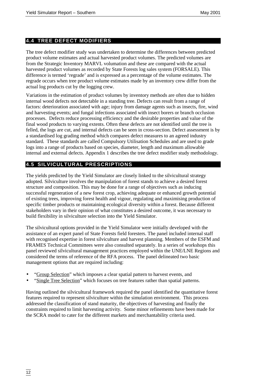# **4.4 TREE DEFECT MODIFIERS**

The tree defect modifier study was undertaken to determine the differences between predicted product volume estimates and actual harvested product volumes. The predicted volumes are from the Strategic Inventory MARVL volumation and these are compared with the actual harvested product volumes as recorded by State Forests log sales system (FORSALE). This difference is termed 'regrade' and is expressed as a percentage of the volume estimates. The regrade occurs when tree product volume estimates made by an inventory crew differ from the actual log products cut by the logging crew.

Variations in the estimation of product volumes by inventory methods are often due to hidden internal wood defects not detectable in a standing tree. Defects can result from a range of factors: deterioration associated with age; injury from damage agents such as insects, fire, wind and harvesting events; and fungal infections associated with insect borers or branch occlusion processes. Defects reduce processing efficiency and the desirable properties and value of the final wood products to varying extents. Often these defects are not identified until the tree is felled, the logs are cut, and internal defects can be seen in cross-section. Defect assessment is by a standardised log grading method which compares defect measures to an agreed industry standard. These standards are called Compulsory Utilisation Schedules and are used to grade logs into a range of products based on species, diameter, length and maximum allowable internal and external defects. Appendix 1 describes the tree defect modifier study methodology.

# **4.5 SILVICULTURAL PRESCRIPTIONS**

The yields predicted by the Yield Simulator are closely linked to the silvicultural strategy adopted. Silviculture involves the manipulation of forest stands to achieve a desired forest structure and composition. This may be done for a range of objectives such as inducing successful regeneration of a new forest crop, achieving adequate or enhanced growth potential of existing trees, improving forest health and vigour, regulating and maximising production of specific timber products or maintaining ecological diversity within a forest. Because different stakeholders vary in their opinion of what constitutes a desired outcome, it was necessary to build flexibility in silviculture selection into the Yield Simulator.

The silvicultural options provided in the Yield Simulator were initially developed with the assistance of an expert panel of State Forests field foresters. The panel included internal staff with recognised expertise in forest silviculture and harvest planning. Members of the ESFM and FRAMES Technical Committees were also consulted separately. In a series of workshops this panel reviewed silvicultural management practices employed within the UNE/LNE Regions and considered the terms of reference of the RFA process. The panel delineated two basic management options that are required including:

- "Group Selection" which imposes a clear spatial pattern to harvest events, and
- "Single Tree Selection" which focuses on tree features rather than spatial patterns.

Having outlined the silvicultural framework required the panel identified the quantitative forest features required to represent silviculture within the simulation environment. This process addressed the classification of stand maturity, the objectives of harvesting and finally the constraints required to limit harvesting activity. Some minor refinements have been made for the SCRA model to cater for the different markets and merchantability criteria used.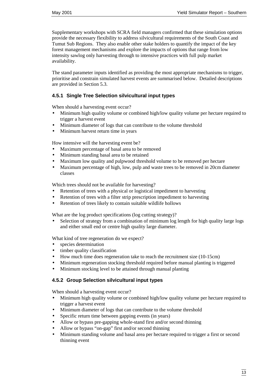Supplementary workshops with SCRA field managers confirmed that these simulation options provide the necessary flexibility to address silvicultural requirements of the South Coast and Tumut Sub Regions. They also enable other stake holders to quantify the impact of the key forest management mechanisms and explore the impacts of options that range from low intensity sawlog only harvesting through to intensive practices with full pulp market availability.

The stand parameter inputs identified as providing the most appropriate mechanisms to trigger, prioritise and constrain simulated harvest events are summarised below. Detailed descriptions are provided in Section 5.3.

#### **4.5.1 Single Tree Selection silvicultural input types**

When should a harvesting event occur?

- Minimum high quality volume or combined high/low quality volume per hectare required to trigger a harvest event
- Minimum diameter of logs that can contribute to the volume threshold
- Minimum harvest return time in years

How intensive will the harvesting event be?

- Maximum percentage of basal area to be removed
- Minimum standing basal area to be retained
- Maximum low quality and pulpwood threshold volume to be removed per hectare
- Maximum percentage of high, low, pulp and waste trees to be removed in 20cm diameter classes

Which trees should not be available for harvesting?

- Retention of trees with a physical or logistical impediment to harvesting
- Retention of trees with a filter strip prescription impediment to harvesting
- Retention of trees likely to contain suitable wildlife hollows

What are the log product specifications (log cutting strategy)?

Selection of strategy from a combination of minimum log length for high quality large logs and either small end or centre high quality large diameter.

What kind of tree regeneration do we expect?

- species determination
- timber quality classification
- How much time does regeneration take to reach the recruitment size (10-15cm)
- Minimum regeneration stocking threshold required before manual planting is triggered
- Minimum stocking level to be attained through manual planting

#### **4.5.2 Group Selection silvicultural input types**

When should a harvesting event occur?

- Minimum high quality volume or combined high/low quality volume per hectare required to trigger a harvest event
- Minimum diameter of logs that can contribute to the volume threshold
- Specific return time between gapping events (in years)
- Allow or bypass pre-gapping whole-stand first and/or second thinning
- Allow or bypass "on-gap" first and/or second thinning
- Minimum standing volume and basal area per hectare required to trigger a first or second thinning event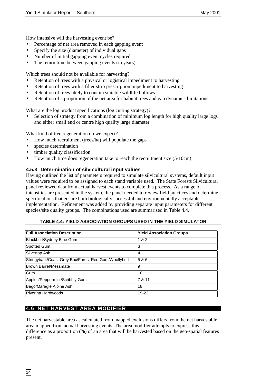How intensive will the harvesting event be?

- Percentage of net area removed in each gapping event
- Specify the size (diameter) of individual gaps
- Number of initial gapping event cycles required
- The return time between gapping events (in years)

Which trees should not be available for harvesting?

- Retention of trees with a physical or logistical impediment to harvesting
- Retention of trees with a filter strip prescription impediment to harvesting
- Retention of trees likely to contain suitable wildlife hollows
- Retention of a proportion of the net area for habitat trees and gap dynamics limitations

What are the log product specifications (log cutting strategy)?

• Selection of strategy from a combination of minimum log length for high quality large logs and either small end or centre high quality large diameter.

What kind of tree regeneration do we expect?

- How much recruitment (trees/ha) will populate the gaps
- species determination
- timber quality classification
- How much time does regeneration take to reach the recruitment size (5-10cm)

### **4.5.3 Determination of silvicultural input values**

Having outlined the list of parameters required to simulate silvicultural systems, default input values were required to be assigned to each stand variable used. The State Forests Silvicultural panel reviewed data from actual harvest events to complete this process. As a range of intensities are presented in the system, the panel needed to review field practices and determine specifications that ensure both biologically successful and environmentally acceptable implementation. Refinement was added by providing separate input parameters for different species/site quality groups. The combinations used are summarised in Table 4.4.

#### **TABLE 4.4: YIELD ASSOCIATION GROUPS USED IN THE YIELD SIMULATOR**

| <b>Full Association Description</b>                  | <b>Yield Association Groups</b> |
|------------------------------------------------------|---------------------------------|
| Blackbutt/Sydney Blue Gum                            | 1 & 2                           |
| Spotted Gum                                          | 3                               |
| Silvertop Ash                                        | 4                               |
| Stringybark/Coast Grey Box/Forest Red Gum/Woollybutt | 5 & 6                           |
| Brown Barrel/Messmate                                | 9                               |
| Gum                                                  | 10                              |
| Apples/Peppermint/Scribbly Gum                       | 7 & 11                          |
| Bago/Maragle Alpine Ash                              | 18                              |
| Riverina Hardwoods                                   | 19-22                           |

# **4.6 NET HARVEST AREA MODIFIER**

The net harvestable area as calculated from mapped exclusions differs from the net harvestable area mapped from actual harvesting events. The area modifier attempts to express this difference as a proportion (%) of an area that will be harvested based on the geo-spatial features present.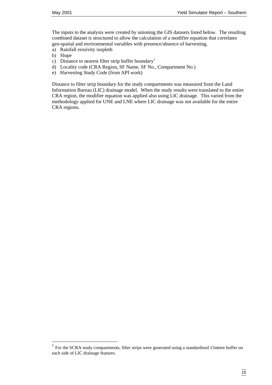The inputs to the analysis were created by unioning the GIS datasets listed below. The resulting combined dataset is structured to allow the calculation of a modifier equation that correlates geo-spatial and environmental variables with presence/absence of harvesting.

- a) Rainfall erosivity isopleth
- b) Slope

 $\overline{a}$ 

- c) Distance to nearest filter strip buffer boundary<sup>1</sup>
- d) Locality code (CRA Region, SF Name, SF No., Compartment No.)
- e) Harvesting Study Code (from API work)

Distance to filter strip boundary for the study compartments was measured from the Land Information Bureau (LIC) drainage model. When the study results were translated to the entire CRA region, the modifier equation was applied also using LIC drainage. This varied from the methodology applied for UNE and LNE where LIC drainage was not available for the entire CRA regions.

<sup>&</sup>lt;sup>1</sup> For the SCRA study compartments, filter strips were generated using a standardised 15metre buffer on each side of LIC drainage features.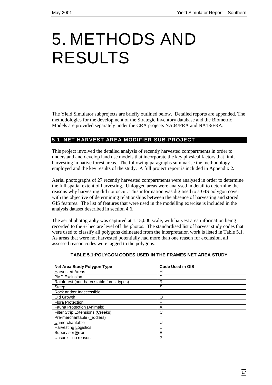# 5. METHODS AND RESULTS

The Yield Simulator subprojects are briefly outlined below. Detailed reports are appended. The methodologies for the development of the Strategic Inventory database and the Biometric Models are provided separately under the CRA projects NA04/FRA and NA13/FRA.

# **5.1 NET HARVEST AREA MODIFIER SUB-PROJECT**

This project involved the detailed analysis of recently harvested compartments in order to understand and develop land use models that incorporate the key physical factors that limit harvesting in native forest areas. The following paragraphs summarise the methodology employed and the key results of the study. A full project report is included in Appendix 2.

Aerial photographs of 27 recently harvested compartments were analysed in order to determine the full spatial extent of harvesting. Unlogged areas were analysed in detail to determine the reasons why harvesting did not occur. This information was digitised to a GIS polygon cover with the objective of determining relationships between the absence of harvesting and stored GIS features. The list of features that were used in the modelling exercise is included in the analysis dataset described in section 4.6.

The aerial photography was captured at 1:15,000 scale, with harvest area information being recorded to the ½ hectare level off the photos. The standardised list of harvest study codes that were used to classify all polygons delineated from the interpretation work is listed in Table 5.1. As areas that were not harvested potentially had more than one reason for exclusion, all assessed reason codes were tagged to the polygons.

| Net Area Study Polygon Type               | <b>Code Used in GIS</b> |
|-------------------------------------------|-------------------------|
| <b>Harvested Areas</b>                    | н                       |
| <b>PMP Exclusion</b>                      | P                       |
| Rainforest (non-harvestable forest types) | R                       |
| Steep                                     | S                       |
| Rock and/or Inaccessible                  |                         |
| Old Growth                                | Ω                       |
| <b>Flora Protection</b>                   | F                       |
| <b>Fauna Protection (Animals)</b>         | A                       |
| <b>Filter Strip Extensions (Creeks)</b>   | С                       |
| Pre-merchantable (Tiddlers)               |                         |
| Unmerchantable                            | U                       |
| <b>Harvesting Logistics</b>               |                         |
| Supervisor Error                          | E                       |
| Unsure - no reason                        | ?                       |

#### **TABLE 5.1:POLYGON CODES USED IN THE FRAMES NET AREA STUDY**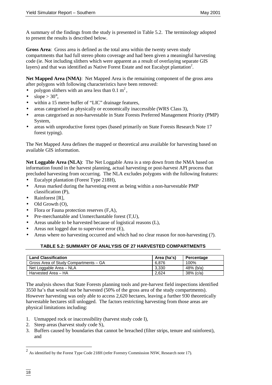A summary of the findings from the study is presented in Table 5.2. The terminology adopted to present the results is described below.

**Gross Area**: Gross area is defined as the total area within the twenty seven study compartments that had full stereo photo coverage and had been given a meaningful harvesting code (ie. Not including slithers which were apparent as a result of overlaying separate GIS layers) and that was identified as Native Forest Estate and not Eucalypt plantation<sup>2</sup>.

**Net Mapped Area (NMA)**: Net Mapped Area is the remaining component of the gross area after polygons with following characteristics have been removed:

- polygon slithers with an area less than  $0.1 \text{ m}^2$ ,
- slope  $> 30^\circ$ ,
- within a 15 metre buffer of "LIC" drainage features,
- areas categorised as physically or economically inaccessible (WRS Class 3),
- areas categorised as non-harvestable in State Forests Preferred Management Priority (PMP) System,
- areas with unproductive forest types (based primarily on State Forests Research Note 17 forest typing).

The Net Mapped Area defines the mapped or theoretical area available for harvesting based on available GIS information.

**Net Loggable Area (NLA)**: The Net Loggable Area is a step down from the NMA based on information found in the harvest planning, actual harvesting or post-harvest API process that precluded harvesting from occurring. The NLA excludes polygons with the following features:

- Eucalypt plantation (Forest Type 218H),
- Areas marked during the harvesting event as being within a non-harvestable PMP classification (P),
- Rainforest [R].
- Old Growth (O),
- Flora or Fauna protection reserves  $(F, A)$ ,
- Pre-merchantable and Unmerchantable forest  $(T,U)$ ,
- Areas unable to be harvested because of logistical reasons (L),
- Areas not logged due to supervisor error  $(E)$ ,
- Areas where no harvesting occurred and which had no clear reason for non-harvesting (?).

# **TABLE 5.2: SUMMARY OF ANALYSIS OF 27 HARVESTED COMPARTMENTS**

| <b>Land Classification</b>            | Area (ha's) | Percentage   |
|---------------------------------------|-------------|--------------|
| Gross Area of Study Compartments - GA | 6.876       | 100%         |
| Net Loggable Area - NLA               | 3.330       | 48% (b/a)    |
| Harvested Area - HA                   | 2.624       | $38\%$ (c/a) |

The analysis shows that State Forests planning tools and pre-harvest field inspections identified 3550 ha's that would not be harvested (50% of the gross area of the study compartments). However harvesting was only able to access 2,620 hectares, leaving a further 930 theoretically harvestable hectares still unlogged. The factors restricting harvesting from those areas are physical limitations including:

- 1. Unmapped rock or inaccessibility (harvest study code I),
- 2. Steep areas (harvest study code S),
- 3. Buffers caused by boundaries that cannot be breached (filter strips, tenure and rainforest), and

 $2$  As identified by the Forest Type Code 218H (refer Forestry Commission NSW, Research note 17).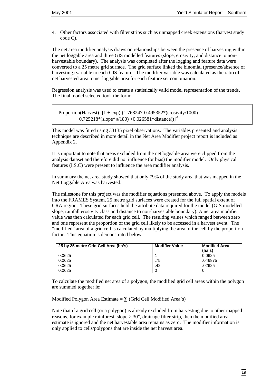4. Other factors associated with filter strips such as unmapped creek extensions (harvest study code C).

The net area modifier analysis draws on relationships between the presence of harvesting within the net loggable area and three GIS modelled features (slope, erosivity, and distance to nonharvestable boundary). The analysis was completed after the logging and feature data were converted to a 25 metre grid surface. The grid surface linked the binomial (presence/absence of harvesting) variable to each GIS feature. The modifier variable was calculated as the ratio of net harvested area to net loggable area for each feature set combination.

Regression analysis was used to create a statistically valid model representation of the trends. The final model selected took the form:

Proportion(Harvest)=[1 + exp(-(1.768247-0.495352\*(erosivity/1000)-  $0.725218*(\text{slope}*\pi/180) + 0.026581*\text{distance})$ <sup>1</sup>

This model was fitted using 33135 pixel observations. The variables presented and analysis technique are described in more detail in the Net Area Modifier project report is included as Appendix 2.

It is important to note that areas excluded from the net loggable area were clipped from the analysis dataset and therefore did not influence (or bias) the modifier model. Only physical features (I,S,C) were present to influence the area modifier analysis.

In summary the net area study showed that only 79% of the study area that was mapped in the Net Loggable Area was harvested.

The milestone for this project was the modifier equations presented above. To apply the models into the FRAMES System, 25 metre grid surfaces were created for the full spatial extent of CRA region. These grid surfaces held the attribute data required for the model (GIS modelled slope, rainfall erosivity class and distance to non-harvestable boundary). A net area modifier value was then calculated for each grid cell. The resulting values which ranged between zero and one represent the proportion of the grid cell likely to be accessed in a harvest event. The "modified" area of a grid cell is calculated by multiplying the area of the cell by the proportion factor. This equation is demonstrated below.

| 25 by 25 metre Grid Cell Area (ha's) | <b>Modifier Value</b> | <b>Modified Area</b><br>(ha's) |
|--------------------------------------|-----------------------|--------------------------------|
| 0.0625                               |                       | 0.0625                         |
| 0.0625                               | .75                   | .046875                        |
| 0.0625                               | .42                   | .02625                         |
| 0.0625                               |                       |                                |

To calculate the modified net area of a polygon, the modified grid cell areas within the polygon are summed together ie:

Modified Polygon Area Estimate =  $\Sigma$  (Grid Cell Modified Area's)

Note that if a grid cell (or a polygon) is already excluded from harvesting due to other mapped reasons, for example rainforest, slope  $> 30^{\circ}$ , drainage filter strip, then the modified area estimate is ignored and the net harvestable area remains as zero. The modifier information is only applied to cells/polygons that are inside the net harvest area.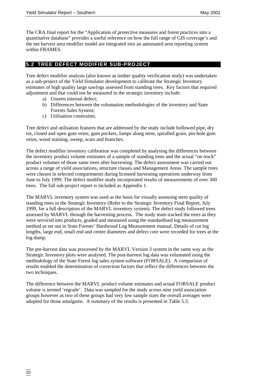The CRA final report for the "Application of protective measures and forest practices into a quantitative database" provides a useful reference on how the full range of GIS coverage's and the net harvest area modifier model are integrated into an automated area reporting system within FRAMES.

# **5.2 TREE DEFECT MODIFIER SUB-PROJECT**

Tree defect modifier analysis (also known as timber quality verification study) was undertaken as a sub-project of the Yield Simulator development to calibrate the Strategic Inventory estimates of high quality large sawlogs assessed from standing trees. Key factors that required adjustment and that could not be measured in the strategic inventory include:

- a) Unseen internal defect;
- b) Differences between the volumation methodologies of the inventory and State Forests Sales System;
- c) Utilisation constraints.

Tree defect and utilisation features that are addressed by the study include hollowed pipe, dry rot, closed and open gum veins, gum pockets, lumps along stem, spiralled grain, pin-hole gum veins, wood staining, sweep, scars and branches.

The defect modifier inventory calibration was completed by analysing the differences between the inventory product volume estimates of a sample of standing trees and the actual "on truck" product volumes of those same trees after harvesting. The defect assessment was carried out across a range of yield associations, structure classes and Management Areas. The sample trees were chosen in selected compartments during licensed harvesting operations underway from June to July 1999. The defect modifier study incorporated results of measurements of over 300 trees. The full sub-project report is included as Appendix 1.

The MARVL inventory system was used as the basis for visually assessing stem quality of standing trees in the Strategic Inventory (Refer to the Strategic Inventory Final Report, July 1999, for a full description of the MARVL inventory system). The defect study followed trees assessed by MARVL through the harvesting process. The study team tracked the trees as they were serviced into products, graded and measured using the standardised log measurement method as set out in State Forests' Hardwood Log Measurement manual. Details of cut log lengths, large end, small end and centre diameters and defect core were recorded for trees at the log dump.

The pre-harvest data was processed by the MARVL Version 3 system in the same way as the Strategic Inventory plots were analysed. The post-harvest log data was volumated using the methodology of the State Forest log sales system software (FORSALE). A comparison of results enabled the determination of correction factors that reflect the differences between the two techniques.

The difference between the MARVL product volume estimates and actual FORSALE product volume is termed 'regrade'. Data was sampled for the study across nine yield association groups however as two of these groups had very low sample sizes the overall averages were adopted for those amalgams. A summary of the results is presented in Table 5.3.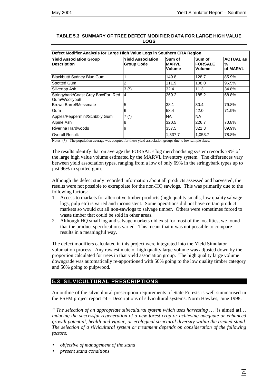| Defect Modifier Analysis for Large High Value Logs in Southern CRA Region |                                               |                            |                                    |                                   |  |
|---------------------------------------------------------------------------|-----------------------------------------------|----------------------------|------------------------------------|-----------------------------------|--|
| <b>Yield Association Group</b><br><b>Description</b>                      | <b>Yield Association</b><br><b>Group Code</b> | Sum of<br>IMARVL<br>Volume | Sum of<br><b>FORSALE</b><br>Volume | <b>ACTUAL as</b><br>℅<br>of MARVL |  |
| Blackbutt/ Sydney Blue Gum                                                |                                               | 149.8                      | 128.7                              | 85.9%                             |  |
| Spotted Gum                                                               | 2                                             | 111.9                      | 108.0                              | 96.5%                             |  |
| Silvertop Ash                                                             | $3(*)$                                        | 32.4                       | 11.3                               | 34.8%                             |  |
| Stringybark/Coast Grey Box/For. Red<br>Gum/Woollybutt                     | 14                                            | 269.2                      | 185.2                              | 68.8%                             |  |
| <b>Brown Barrel/Messmate</b>                                              | 5                                             | 38.1                       | 30.4                               | 79.8%                             |  |
| Gum                                                                       | 6                                             | 58.4                       | 42.0                               | 71.9%                             |  |
| Apples/Peppermint/Scribbly Gum                                            | $7(*)$                                        | <b>NA</b>                  | <b>NA</b>                          |                                   |  |
| Alpine Ash                                                                | 8                                             | 320.5                      | 226.7                              | 70.8%                             |  |
| Riverina Hardwoods                                                        | 9                                             | 357.5                      | 321.3                              | 89.9%                             |  |
| <b>Overall Result:</b>                                                    |                                               | 1,337.7                    | 1,053.7                            | 78.8%                             |  |

#### **TABLE 5.3**: **SUMMARY OF TREE DEFECT MODIFIER DATA FOR LARGE HIGH VALUE LOGS**

Notes: (\*) - The population average was adopted for these yield association groups due to low sample sizes.

The results identify that on average the FORSALE log merchandising system records 79% of the large high value volume estimated by the MARVL inventory system. The differences vary between yield association types, ranging from a low of only 69% in the stringybark types up to just 96% in spotted gum.

Although the defect study recorded information about all products assessed and harvested, the results were not possible to extrapolate for the non-HQ sawlogs. This was primarily due to the following factors:

- 1. Access to markets for alternative timber products (high quality smalls, low quality salvage logs, pulp etc) is varied and inconsistent. Some operations did not have certain product markets so would cut all non-sawlogs to salvage timber. Others were sometimes forced to waste timber that could be sold in other areas.
- 2. Although HQ small log and salvage markets did exist for most of the localities, we found that the product specifications varied. This meant that it was not possible to compare results in a meaningful way.

The defect modifiers calculated in this project were integrated into the Yield Simulator volumation process. Any raw estimate of high quality large volume was adjusted down by the proportion calculated for trees in that yield association group. The high quality large volume downgrade was automatically re-apportioned with 50% going to the low quality timber category and 50% going to pulpwood.

# **5.3 SILVICULTURAL PRESCRIPTIONS**

An outline of the silvicultural prescription requirements of State Forests is well summarised in the ESFM project report #4 – Descriptions of silvicultural systems. Norm Hawkes, June 1998.

*" The selection of an appropriate silvicultural system which uses harvesting …* [is aimed at]… *inducing the successful regeneration of a new forest crop or achieving adequate or enhanced growth potential, health and vigour, or ecological structural diversity within the treated stand. The selection of a silvicultural system or treatment depends on consideration of the following factors:*

- *objective of management of the stand*
- *present stand conditions*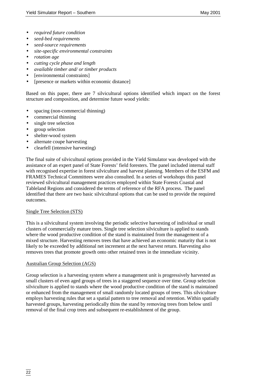- *required future condition*
- *seed-bed requirements*
- *seed-source requirements*
- *site-specific environmental constraints*
- *rotation age*
- *cutting cycle phase and length*
- *available timber and/ or timber products*
- [environmental constraints]
- [presence or markets within economic distance]

Based on this paper, there are 7 silvicultural options identified which impact on the forest structure and composition, and determine future wood yields:

- spacing (non-commercial thinning)
- commercial thinning
- single tree selection
- group selection
- shelter-wood system
- alternate coupe harvesting
- clearfell (intensive harvesting)

The final suite of silvicultural options provided in the Yield Simulator was developed with the assistance of an expert panel of State Forests' field foresters. The panel included internal staff with recognised expertise in forest silviculture and harvest planning. Members of the ESFM and FRAMES Technical Committees were also consulted. In a series of workshops this panel reviewed silvicultural management practices employed within State Forests Coastal and Tableland Regions and considered the terms of reference of the RFA process. The panel identified that there are two basic silvicultural options that can be used to provide the required outcomes.

#### Single Tree Selection (STS)

This is a silvicultural system involving the periodic selective harvesting of individual or small clusters of commercially mature trees. Single tree selection silviculture is applied to stands where the wood productive condition of the stand is maintained from the management of a mixed structure. Harvesting removes trees that have achieved an economic maturity that is not likely to be exceeded by additional net increment at the next harvest return. Harvesting also removes trees that promote growth onto other retained trees in the immediate vicinity.

#### Australian Group Selection (AGS)

Group selection is a harvesting system where a management unit is progressively harvested as small clusters of even aged groups of trees in a staggered sequence over time. Group selection silviculture is applied to stands where the wood productive condition of the stand is maintained or enhanced from the management of small randomly located groups of trees. This silviculture employs harvesting rules that set a spatial pattern to tree removal and retention. Within spatially harvested groups, harvesting periodically thins the stand by removing trees from below until removal of the final crop trees and subsequent re-establishment of the group.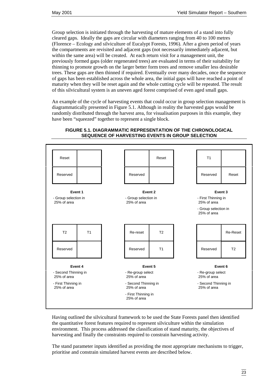Group selection is initiated through the harvesting of mature elements of a stand into fully cleared gaps. Ideally the gaps are circular with diameters ranging from 40 to 100 metres (Florence – Ecology and silviculture of Eucalypt Forests, 1996). After a given period of years the compartments are revisited and adjacent gaps (not necessarily immediately adjacent, but within the same area) will be created. At each return visit for a management unit, the previously formed gaps (older regenerated trees) are evaluated in terms of their suitability for thinning to promote growth on the larger better form trees and remove smaller less desirable trees. These gaps are then thinned if required. Eventually over many decades, once the sequence of gaps has been established across the whole area, the initial gaps will have reached a point of maturity when they will be reset again and the whole cutting cycle will be repeated. The result of this silvicultural system is an uneven aged forest comprised of even aged small gaps.

An example of the cycle of harvesting events that could occur in group selection management is diagrammatically presented in Figure 5.1. Although in reality the harvested gaps would be randomly distributed through the harvest area, for visualisation purposes in this example, they have been "squeezed" together to represent a single block.



### **FIGURE 5.1. DIAGRAMMATIC REPRESENTATION OF THE CHRONOLOGICAL SEQUENCE OF HARVESTING EVENTS IN GROUP SELECTION**

Having outlined the silvicultural framework to be used the State Forests panel then identified the quantitative forest features required to represent silviculture within the simulation environment. This process addressed the classification of stand maturity, the objectives of harvesting and finally the constraints required to constrain harvesting activity.

The stand parameter inputs identified as providing the most appropriate mechanisms to trigger, prioritise and constrain simulated harvest events are described below.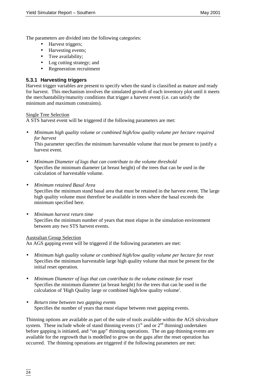The parameters are divided into the following categories:

- Harvest triggers;
- Harvesting events:
- Tree availability:
- Log cutting strategy; and
- Regeneration recruitment

# **5.3.1 Harvesting triggers**

Harvest trigger variables are present to specify when the stand is classified as mature and ready for harvest. This mechanism involves the simulated growth of each inventory plot until it meets the merchantability/maturity conditions that trigger a harvest event (i.e. can satisfy the minimum and maximum constraints).

Single Tree Selection

A STS harvest event will be triggered if the following parameters are met:

• *Minimum high quality volume or combined high/low quality volume per hectare required for harvest*

This parameter specifies the minimum harvestable volume that must be present to justify a harvest event.

- *Minimum Diameter of logs that can contribute to the volume threshold* Specifies the minimum diameter (at breast height) of the trees that can be used in the calculation of harvestable volume.
- *Minimum retained Basal Area*

Specifies the minimum stand basal area that must be retained in the harvest event. The large high quality volume must therefore be available in trees where the basal exceeds the minimum specified here.

• *Minimum harvest return time* Specifies the minimum number of years that must elapse in the simulation environment between any two STS harvest events.

#### Australian Group Selection

An AGS gapping event will be triggered if the following parameters are met:

- *Minimum high quality volume or combined high/low quality volume per hectare for reset* Specifies the minimum harvestable large high quality volume that must be present for the initial reset operation.
- *Minimum Diameter of logs that can contribute to the volume estimate for reset* Specifies the minimum diameter (at breast height) for the trees that can be used in the calculation of 'High Quality large or combined high/low quality volume'.
- *Return time between two gapping events* Specifies the number of years that must elapse between reset gapping events.

Thinning options are available as part of the suite of tools available within the AGS silviculture system. These include whole of stand thinning events  $(1<sup>st</sup>$  and or  $2<sup>nd</sup>$  thinning) undertaken before gapping is initiated, and "on gap" thinning operations. The on gap thinning events are available for the regrowth that is modelled to grow on the gaps after the reset operation has occurred. The thinning operations are triggered if the following parameters are met: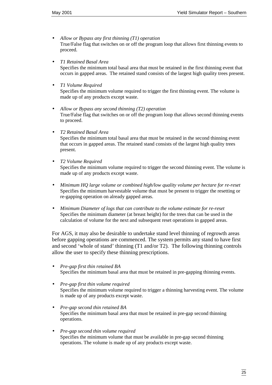- *Allow or Bypass any first thinning (T1) operation* True/False flag that switches on or off the program loop that allows first thinning events to proceed.
- *T1 Retained Basal Area*

Specifies the minimum total basal area that must be retained in the first thinning event that occurs in gapped areas. The retained stand consists of the largest high quality trees present.

• *T1 Volume Required*

Specifies the minimum volume required to trigger the first thinning event. The volume is made up of any products except waste.

- *Allow or Bypass any second thinning (T2) operation* True/False flag that switches on or off the program loop that allows second thinning events to proceed.
- *T2 Retained Basal Area*

Specifies the minimum total basal area that must be retained in the second thinning event that occurs in gapped areas. The retained stand consists of the largest high quality trees present.

• *T2 Volume Required*

Specifies the minimum volume required to trigger the second thinning event. The volume is made up of any products except waste.

- *Minimum HQ large volume or combined high/low quality volume per hectare for re-reset* Specifies the minimum harvestable volume that must be present to trigger the resetting or re-gapping operation on already gapped areas.
- *Minimum Diameter of logs that can contribute to the volume estimate for re-reset* Specifies the minimum diameter (at breast height) for the trees that can be used in the calculation of volume for the next and subsequent reset operations in gapped areas.

For AGS, it may also be desirable to undertake stand level thinning of regrowth areas before gapping operations are commenced. The system permits any stand to have first and second 'whole of stand' thinning (T1 and/or T2). The following thinning controls allow the user to specify these thinning prescriptions.

- *Pre-gap first thin retained BA* Specifies the minimum basal area that must be retained in pre-gapping thinning events.
- *Pre-gap first thin volume required* Specifies the minimum volume required to trigger a thinning harvesting event. The volume is made up of any products except waste.
- *Pre-gap second thin retained BA* Specifies the minimum basal area that must be retained in pre-gap second thinning operations.
- *Pre-gap second thin volume required* Specifies the minimum volume that must be available in pre-gap second thinning operations. The volume is made up of any products except waste.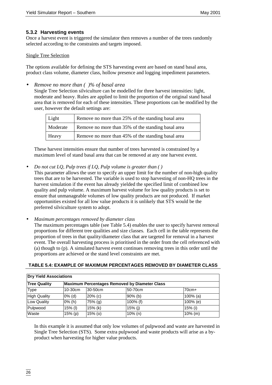### **5.3.2 Harvesting events**

Once a harvest event is triggered the simulator then removes a number of the trees randomly selected according to the constraints and targets imposed.

#### Single Tree Selection

The options available for defining the STS harvesting event are based on stand basal area, product class volume, diameter class, hollow presence and logging impediment parameters.

• *Remove no more than ( )% of basal area*

Single Tree Selection silviculture can be modelled for three harvest intensities: light, moderate and heavy. Rules are applied to limit the proportion of the original stand basal area that is removed for each of these intensities. These proportions can be modified by the user, however the default settings are:

| Light    | Remove no more than 25% of the standing basal area |
|----------|----------------------------------------------------|
| Moderate | Remove no more than 35% of the standing basal area |
| Heavy    | Remove no more than 45% of the standing basal area |

These harvest intensities ensure that number of trees harvested is constrained by a maximum level of stand basal area that can be removed at any one harvest event.

• *Do not cut LQ, Pulp trees if LQ, Pulp volume is greater than ( )*

This parameter allows the user to specify an upper limit for the number of non-high quality trees that are to be harvested. The variable is used to stop harvesting of non-HQ trees in the harvest simulation if the event has already yielded the specified limit of combined low quality and pulp volume. A maximum harvest volume for low quality products is set to ensure that unmanageable volumes of low quality products are not produced. If market opportunities existed for all low value products it is unlikely that STS would be the preferred silviculture system to adopt.

• *Maximum percentages removed by diameter class*

The maximum percentages table (see Table 5.4) enables the user to specify harvest removal proportions for different tree qualities and size classes. Each cell in the table represents the proportion of trees in that quality/diameter class that are targeted for removal in a harvest event. The overall harvesting process is prioritised in the order from the cell referenced with (a) though to (p). A simulated harvest event continues removing trees in this order until the proportions are achieved or the stand level constraints are met.

| <b>Dry Yield Associations</b>                                        |           |           |            |             |  |
|----------------------------------------------------------------------|-----------|-----------|------------|-------------|--|
| <b>Tree Quality</b><br>Maximum Percentages Removed by Diameter Class |           |           |            |             |  |
| <b>Type</b>                                                          | 10-30cm   | 30-50cm   | 50-70cm    | $70cm+$     |  |
| <b>High Quality</b>                                                  | $0\%$ (d) | $20%$ (c) | $90\%$ (b) | $100\%$ (a) |  |
| Low Quality                                                          | $0\%$ (h) | $75%$ (g) | 100% (f)   | 100% (e)    |  |
| Pulpwood                                                             | $15%$ (l) | $15%$ (k) | $15%$ (i)  | $15%$ (i)   |  |
| Waste                                                                | 15% (p)   | $15%$ (o) | $10\%$ (n) | $10%$ (m)   |  |

#### **TABLE 5.4: EXAMPLE OF MAXIMUM PERCENTAGES REMOVED BY DIAMETER CLASS**

In this example it is assumed that only low volumes of pulpwood and waste are harvested in Single Tree Selection (STS). Some extra pulpwood and waste products will arise as a byproduct when harvesting for higher value products.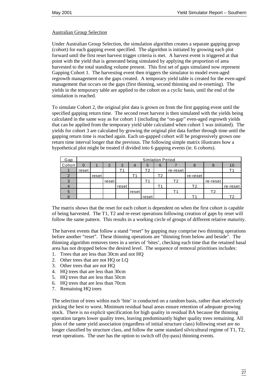#### Australian Group Selection

Under Australian Group Selection, the simulation algorithm creates a separate gapping group (cohort) for each gapping event specified. The algorithm is initiated by growing each plot forward until the first reset harvest trigger criteria is met. A harvest event is triggered at that point with the yield that is generated being simulated by applying the proportion of area harvested to the total standing volume present. This first set of gaps simulated now represent Gapping Cohort 1. The harvesting event then triggers the simulator to model even-aged regrowth management on the gaps created. A temporary yield table is created for the even-aged management that occurs on the gaps (first thinning, second thinning and re-resetting). The yields in the temporary table are applied to the cohort on a cyclic basis, until the end of the simulation is reached.

To simulate Cohort 2, the original plot data is grown on from the first gapping event until the specified gapping return time. The second reset harvest is then simulated with the yields being calculated in the same way as for cohort 1 (including the "on-gap" even-aged regrowth yields that can be applied from the temporary yield table calculated when cohort 1 was initiated). The yields for cohort 3 are calculated by growing the original plot data further through time until the gapping return time is reached again. Each un-gapped cohort will be progressively grown one return time interval longer that the previous. The following simple matrix illustrates how a hypothetical plot might be treated if divided into 6 gapping events (ie. 6 cohorts).

| Gap    | <b>Simlation Period</b> |       |       |       |       |       |         |          |          |          |          |
|--------|-------------------------|-------|-------|-------|-------|-------|---------|----------|----------|----------|----------|
| Cohort |                         |       | ⌒     | 3     | 4     | 5     | 6       |          |          |          |          |
|        | reset                   |       |       |       |       | Г2    |         | re-reset |          |          |          |
|        |                         | reset |       |       |       |       | T2      |          | re-reset |          |          |
| っ      |                         |       | reset |       |       |       |         | Τ2       |          | re-reset |          |
|        |                         |       |       | reset |       |       | $T_{1}$ |          | T2       |          | re-reset |
| C      |                         |       |       |       | reset |       |         |          |          |          |          |
|        |                         |       |       |       |       | reset |         |          |          |          |          |

The matrix shows that the reset for each cohort is dependent on when the first cohort is capable of being harvested. The T1, T2 and re-reset operations following creation of gaps by reset will follow the same pattern. This results in a working circle of groups of different relative maturity.

The harvest events that follow a stand "reset" by gapping may comprise two thinning operations before another "reset". These thinning operations are "thinning from below and beside". The thinning algorithm removes trees in a series of 'bites', checking each time that the retained basal area has not dropped below the desired level. The sequence of removal prioritises includes:

- 1. Trees that are less than 30cm and not HQ
- 2. Other trees that are not HQ or LQ
- 3. Other trees that are not HQ
- 4. HQ trees that are less than 30cm
- 5. HQ trees that are less than 50cm
- 6. HQ trees that are less than 70cm
- 7. Remaining HQ trees

The selection of trees within each 'bite' is conducted on a random basis, rather than selectively picking the best to worst. Minimum residual basal areas ensure retention of adequate growing stock. There is no explicit specification for high quality in residual BA because the thinning operation targets lower quality trees, leaving predominantly higher quality trees remaining. All plots of the same yield association (regardless of initial structure class) following reset are no longer classified by structure class, and follow the same standard silvicultural regime of T1, T2, reset operations. The user has the option to switch off (by-pass) thinning events.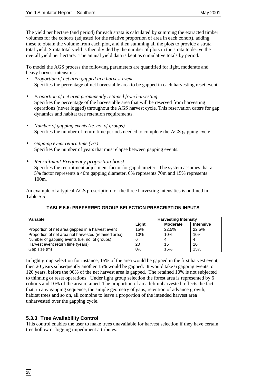The yield per hectare (and period) for each strata is calculated by summing the extracted timber volumes for the cohorts (adjusted for the relative proportion of area in each cohort), adding these to obtain the volume from each plot, and then summing all the plots to provide a strata total yield. Strata total yield is then divided by the number of plots in the strata to derive the overall yield per hectare. The annual yield data is kept as cumulative totals by period.

To model the AGS process the following parameters are quantified for light, moderate and heavy harvest intensities:

- *Proportion of net area gapped in a harvest event* Specifies the percentage of net harvestable area to be gapped in each harvesting reset event
- *Proportion of net area permanently retained from harvesting* Specifies the percentage of the harvestable area that will be reserved from harvesting operations (never logged) throughout the AGS harvest cycle. This reservation caters for gap dynamics and habitat tree retention requirements.
- *Number of gapping events (ie. no. of groups)* Specifies the number of return time periods needed to complete the AGS gapping cycle.
- *Gapping event return time (yrs)* Specifies the number of years that must elapse between gapping events.
- *Recruitment Frequency proportion boost* Specifies the recruitment adjustment factor for gap diameter. The system assumes that  $a -$ 5% factor represents a 40m gapping diameter, 0% represents 70m and 15% represents 100m.

An example of a typical AGS prescription for the three harvesting intensities is outlined in Table 5.5.

| Variable                                             | <b>Harvesting Intensity</b> |                 |                  |  |  |
|------------------------------------------------------|-----------------------------|-----------------|------------------|--|--|
|                                                      | Liaht                       | <b>Moderate</b> | <b>Intensive</b> |  |  |
| Proportion of net area gapped in a harvest event     | 15%                         | 22.5%           | 22.5%            |  |  |
| Proportion of net area not harvested (retained area) | 10%                         | 10%             | 10%              |  |  |
| Number of gapping events (i.e. no. of groups)        | 6                           |                 |                  |  |  |
| Harvest event return time (years)                    | 20                          | 15              | 10               |  |  |
| Gap size (m)                                         | 0%                          | 15%             | 15%              |  |  |

# **TABLE 5.5: PREFERRED GROUP SELECTION PRESCRIPTION INPUTS**

In light group selection for instance, 15% of the area would be gapped in the first harvest event, then 20 years subsequently another 15% would be gapped. It would take 6 gapping events, or 120 years, before the 90% of the net harvest area is gapped. The retained 10% is not subjected to thinning or reset operations. Under light group selection the forest area is represented by 6 cohorts and 10% of the area retained. The proportion of area left unharvested reflects the fact that, in any gapping sequence, the simple geometry of gaps, retention of advance growth, habitat trees and so on, all combine to leave a proportion of the intended harvest area unharvested over the gapping cycle.

# **5.3.3 Tree Availability Control**

This control enables the user to make trees unavailable for harvest selection if they have certain tree hollow or logging impediment attributes.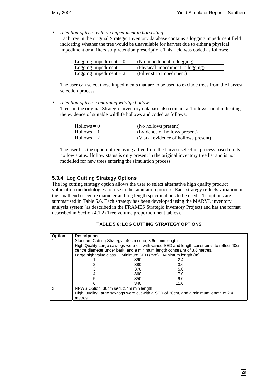• *retention of trees with an impediment to harvesting*

Each tree in the original Strategic Inventory database contains a logging impediment field indicating whether the tree would be unavailable for harvest due to either a physical impediment or a filters strip retention prescription. This field was coded as follows:

| Logging Impediment $= 0$ | (No impediment to $logging$ )    |
|--------------------------|----------------------------------|
| Logging Impediment = $1$ | (Physical impediment to logging) |
| Logging Impediment $= 2$ | $ $ (Filter strip impediment)    |

The user can select those impediments that are to be used to exclude trees from the harvest selection process.

• *retention of trees containing wildlife hollows*

Trees in the original Strategic Inventory database also contain a 'hollows' field indicating the evidence of suitable wildlife hollows and coded as follows:

| $H$ ollows = 0 | $(No$ hollows present)               |
|----------------|--------------------------------------|
| $Hollows = 1$  | (Evidence of hollows present)        |
| $Hollows = 2$  | (Visual evidence of hollows present) |

The user has the option of removing a tree from the harvest selection process based on its hollow status. Hollow status is only present in the original inventory tree list and is not modelled for new trees entering the simulation process.

#### **5.3.4 Log Cutting Strategy Options**

The log cutting strategy option allows the user to select alternative high quality product volumation methodologies for use in the simulation process. Each strategy reflects variation in the small end or centre diameter and log length specifications to be used. The options are summarised in Table 5.6. Each strategy has been developed using the MARVL inventory analysis system (as described in the FRAMES Strategic Inventory Project) and has the format described in Section 4.1.2 (Tree volume proportionment tables).

| <b>TABLE 5.6: LOG CUTTING STRATEGY OPTIONS</b> |
|------------------------------------------------|
|------------------------------------------------|

| <b>Option</b> | <b>Description</b>                                                                                                            |                                                            |                                                                                            |  |  |  |
|---------------|-------------------------------------------------------------------------------------------------------------------------------|------------------------------------------------------------|--------------------------------------------------------------------------------------------|--|--|--|
|               | Standard Cutting Strategy - 40cm cdub, 3.6m min length                                                                        |                                                            |                                                                                            |  |  |  |
|               |                                                                                                                               |                                                            | High Quality Large sawlogs were cut with varied SED and length constraints to reflect 40cm |  |  |  |
|               | centre diameter under bark, and a minimum length constraint of 3.6 metres.                                                    |                                                            |                                                                                            |  |  |  |
|               |                                                                                                                               | Large high value class Minimum SED (mm) Minimum length (m) |                                                                                            |  |  |  |
|               |                                                                                                                               | 390                                                        | 2.4                                                                                        |  |  |  |
|               |                                                                                                                               | 380                                                        | 3.6                                                                                        |  |  |  |
|               |                                                                                                                               | 370                                                        | 5.0                                                                                        |  |  |  |
|               |                                                                                                                               | 360                                                        | 7.0                                                                                        |  |  |  |
|               |                                                                                                                               | 350                                                        | 9.0                                                                                        |  |  |  |
|               |                                                                                                                               | 340                                                        | 11.0                                                                                       |  |  |  |
| 2             | NPWS Option: 30cm sed, 2.4m min length<br>High Quality Large sawlogs were cut with a SED of 30cm, and a minimum length of 2.4 |                                                            |                                                                                            |  |  |  |
|               |                                                                                                                               |                                                            |                                                                                            |  |  |  |
|               | metres.                                                                                                                       |                                                            |                                                                                            |  |  |  |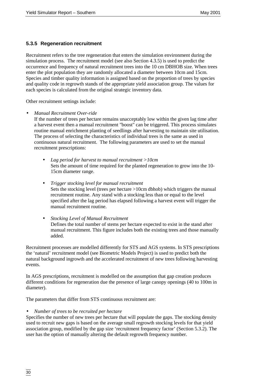### **5.3.5 Regeneration recruitment**

Recruitment refers to the tree regeneration that enters the simulation environment during the simulation process. The recruitment model (see also Section 4.3.5) is used to predict the occurrence and frequency of natural recruitment trees into the 10 cm DBHOB size. When trees enter the plot population they are randomly allocated a diameter between 10cm and 15cm. Species and timber quality information is assigned based on the proportion of trees by species and quality code in regrowth stands of the appropriate yield association group. The values for each species is calculated from the original strategic inventory data.

Other recruitment settings include:

• *Manual Recruitment Over-ride*

If the number of trees per hectare remains unacceptably low within the given lag time after a harvest event then a manual recruitment "boost" can be triggered. This process simulates routine manual enrichment planting of seedlings after harvesting to maintain site utilisation. The process of selecting the characteristics of individual trees is the same as used in continuous natural recruitment. The following parameters are used to set the manual recruitment prescriptions:

- *Lag period for harvest to manual recruitment >10cm* Sets the amount of time required for the planted regeneration to grow into the 10- 15cm diameter range.
- *Trigger stocking level for manual recruitment* Sets the stocking level (trees per hectare >10cm dbhob) which triggers the manual recruitment routine. Any stand with a stocking less than or equal to the level specified after the lag period has elapsed following a harvest event will trigger the manual recruitment routine.
- *Stocking Level of Manual Recruitment* Defines the total number of stems per hectare expected to exist in the stand after manual recruitment. This figure includes both the existing trees and those manually added.

Recruitment processes are modelled differently for STS and AGS systems. In STS prescriptions the 'natural' recruitment model (see Biometric Models Project) is used to predict both the natural background ingrowth and the accelerated recruitment of new trees following harvesting events.

In AGS prescriptions, recruitment is modelled on the assumption that gap creation produces different conditions for regeneration due the presence of large canopy openings (40 to 100m in diameter).

The parameters that differ from STS continuous recruitment are:

#### • *Number of trees to be recruited per hectare*

Specifies the number of new trees per hectare that will populate the gaps. The stocking density used to recruit new gaps is based on the average small regrowth stocking levels for that yield association group, modified by the gap size 'recruitment frequency factor' (Section 5.3.2). The user has the option of manually altering the default regrowth frequency number.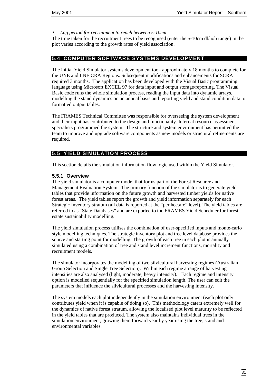• *Lag period for recruitment to reach between 5-10cm*

The time taken for the recruitment trees to be recognised (enter the 5-10cm dbhob range) in the plot varies according to the growth rates of yield association.

#### **5.4 COMPUTER SOFTWARE SYSTEMS DEVELOPMENT**

The initial Yield Simulator systems development took approximately 18 months to complete for the UNE and LNE CRA Regions. Subsequent modifications and enhancements for SCRA required 3 months. The application has been developed with the Visual Basic programming language using Microsoft EXCEL 97 for data input and output storage/reporting. The Visual Basic code runs the whole simulation process, reading the input data into dynamic arrays, modelling the stand dynamics on an annual basis and reporting yield and stand condition data to formatted output tables.

The FRAMES Technical Committee was responsible for overseeing the system development and their input has contributed to the design and functionality. Internal resource assessment specialists programmed the system. The structure and system environment has permitted the team to improve and upgrade software components as new models or structural refinements are required.

#### **5.5 YIELD SIMULATION PROCESS**

This section details the simulation information flow logic used within the Yield Simulator.

#### **5.5.1 Overview**

The yield simulator is a computer model that forms part of the Forest Resource and Management Evaluation System. The primary function of the simulator is to generate yield tables that provide information on the future growth and harvested timber yields for native forest areas. The yield tables report the growth and yield information separately for each Strategic Inventory stratum (all data is reported at the "per hectare" level). The yield tables are referred to as "State Databases" and are exported to the FRAMES Yield Scheduler for forest estate sustainability modelling.

The yield simulation process utilises the combination of user-specified inputs and monte-carlo style modelling techniques. The strategic inventory plot and tree level database provides the source and starting point for modelling. The growth of each tree in each plot is annually simulated using a combination of tree and stand level increment functions, mortality and recruitment models.

The simulator incorporates the modelling of two silvicultural harvesting regimes (Australian Group Selection and Single Tree Selection). Within each regime a range of harvesting intensities are also analysed (light, moderate, heavy intensity). Each regime and intensity option is modelled sequentially for the specified simulation length. The user can edit the parameters that influence the silvicultural processes and the harvesting intensity.

The system models each plot independently in the simulation environment (each plot only contributes yield when it is capable of doing so). This methodology caters extremely well for the dynamics of native forest stratum, allowing the localised plot level maturity to be reflected in the yield tables that are produced. The system also maintains individual trees in the simulation environment, growing them forward year by year using the tree, stand and environmental variables.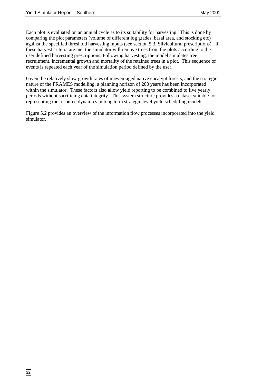Each plot is evaluated on an annual cycle as to its suitability for harvesting. This is done by comparing the plot parameters (volume of different log grades, basal area, and stocking etc) against the specified threshold harvesting inputs (see section 5.3, Silvicultural prescriptions). If these harvest criteria are met the simulator will remove trees from the plots according to the user defined harvesting prescriptions. Following harvesting, the model simulates tree recruitment, incremental growth and mortality of the retained trees in a plot. This sequence of events is repeated each year of the simulation period defined by the user.

Given the relatively slow growth rates of uneven-aged native eucalypt forests, and the strategic nature of the FRAMES modelling, a planning horizon of 200 years has been incorporated within the simulator. These factors also allow yield reporting to be combined to five yearly periods without sacrificing data integrity. This system structure provides a dataset suitable for representing the resource dynamics in long term strategic level yield scheduling models.

Figure 5.2 provides an overview of the information flow processes incorporated into the yield simulator.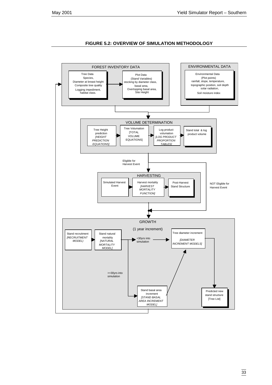#### **FIGURE 5.2: OVERVIEW OF SIMULATION METHODOLOGY**

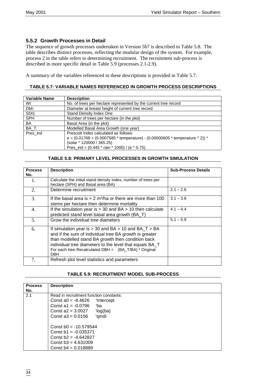## **5.5.2 Growth Processes in Detail**

The sequence of growth processes undertaken in Version 5b7 is described in Table 5.8. The table describes distinct processes, reflecting the modular design of the system. For example, process 2 in the table refers to determining recruitment. The recruitment sub-process is described in more specific detail in Table 5.9 (processes 2.1-2.9).

A summary of the variables referenced in these descriptions is provided in Table 5.7.

### **TABLE 5.7: VARIABLE NAMES REFERENCED IN GROWTH PROCESS DESCRIPTIONS**

| <b>Variable Name</b> | <b>Description</b>                                                                                                                                                                                                 |
|----------------------|--------------------------------------------------------------------------------------------------------------------------------------------------------------------------------------------------------------------|
| Wt                   | No. of trees per hectare represented by the current tree record                                                                                                                                                    |
| Dbh                  | Diameter at breast height of current tree record                                                                                                                                                                   |
| SD <sub>11</sub>     | <b>Stand Density Index One</b>                                                                                                                                                                                     |
| <b>SPH</b>           | Number of trees per hectare (in the plot)                                                                                                                                                                          |
| BA                   | Basal Area (in the plot)                                                                                                                                                                                           |
| BA_T                 | Modelled Basal Area Growth (one year)                                                                                                                                                                              |
| Pres_ind             | Prescott Index calculated as follows:<br>e = $(0.01768 + (0.0007585 * temperature) - (0.00000605 * temperature \cdot 2))$ *<br>(solar * 120000 / 365.25)<br>Pres_ind = $(0.445 * \text{rain} * 1000) / (e * 0.75)$ |

#### **TABLE 5.8: PRIMARY LEVEL PROCESSES IN GROWTH SIMULATION**

| <b>Process</b><br>No. | <b>Description</b>                                                                                                                                                                                                                                                                                           | <b>Sub-Process Details</b> |
|-----------------------|--------------------------------------------------------------------------------------------------------------------------------------------------------------------------------------------------------------------------------------------------------------------------------------------------------------|----------------------------|
| 1.                    | Calculate the initial stand density index, number of trees per<br>hectare (SPH) and Basal area (BA)                                                                                                                                                                                                          |                            |
| 2.                    | Determine recruitment                                                                                                                                                                                                                                                                                        | $2.1 - 2.6$                |
| 3.                    | If the basal area is $> 2$ m <sup>2</sup> /ha or there are more than 100<br>stems per hectare then determine mortality                                                                                                                                                                                       | $3.1 - 3.6$                |
| 4.                    | If the simulation year is $> 30$ and BA $> 10$ then calculate<br>predicted stand level basal area growth (BA_T)                                                                                                                                                                                              | $4.1 - 4.4$                |
| 5.                    | Grow the individual tree diameters                                                                                                                                                                                                                                                                           | $5.1 - 5.9$                |
| 6.                    | If simulation year is $>$ 30 and BA $>$ 10 and BA_T $>$ BA<br>and if the sum of individual tree BA growth is greater<br>than modelled stand BA growth then condition back<br>individual tree diameters to the level that equals BA_T<br>For each tree: Recalculated DBH = (BA_T/BA) * Original<br><b>DBH</b> |                            |
| 7.                    | Refresh plot level statistics and parameters                                                                                                                                                                                                                                                                 |                            |

#### **TABLE 5.9: RECRUITMENT MODEL SUB-PROCESS**

| <b>Process</b> | <b>Description</b>                      |
|----------------|-----------------------------------------|
| No.            |                                         |
| 2.1            | Read in recruitment function constants: |
|                | Const $a0 = -8.4626$<br>'Intercept      |
|                | Const a1 = $-0.0796$<br>'ba             |
|                | Const $a2 = 3.0027$<br>'log(ba)         |
|                | Const $a3 = 0.0156$<br>'qmdi            |
|                | Const $b0 = -10.579544$                 |
|                | Const $b1 = -0.035371$                  |
|                | Const $h2 = -4.642827$                  |
|                | Const $b3 = 4.631009$                   |
|                | Const $b4 = 0.018889$                   |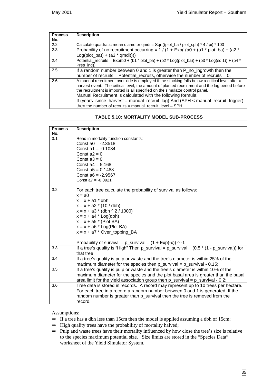| <b>Process</b> | <b>Description</b>                                                                              |
|----------------|-------------------------------------------------------------------------------------------------|
| No.            |                                                                                                 |
| 2.2            | Calculate quadratic mean diameter gmdi = Sgrt((plot ba / plot sph) $*$ 4 / pi) $*$ 100          |
| 2.3            | Probability of no recruitment occurring = $1/(1 + Exp(-(a0 + (a1 * plot_ba) + (a2 *$            |
|                | $Log(plot_ba)) + (a3 * qmdi)))$                                                                 |
| 2.4            | Potential_recruits = $Exp(b0 + (b1 * plot_ba) + (b2 * Log(plot_ba)) + (b3 * Log(sdi1)) + (b4 *$ |
|                | Pres ind))                                                                                      |
| 2.5            | If a random number between 0 and 1 is greater than P_no_ingrowth then the                       |
|                | number of recruits = Potential recruits, otherwise the number of recruits = $0$ .               |
| 2.6            | A manual recruitment over-ride is employed if the stocking falls below a critical level after a |
|                | harvest event. The critical level, the amount of planted recruitment and the lag period before  |
|                | the recruitment is imported is all specified on the simulator control panel.                    |
|                | Manual Recruitment is calculated with the following formula:                                    |
|                | If (years_since_harvest = manual_recruit_lag) And (SPH < manual_recruit_trigger)                |
|                | then the number of recruits = manual_recruit_level $-$ SPH                                      |

|  |  |  |  | <b>TABLE 5.10: MORTALITY MODEL SUB-PROCESS</b> |
|--|--|--|--|------------------------------------------------|
|--|--|--|--|------------------------------------------------|

| <b>Process</b>   | <b>Description</b>                                                                                |
|------------------|---------------------------------------------------------------------------------------------------|
| No.              |                                                                                                   |
| 3.1              | Read in mortality function constants:                                                             |
|                  | Const $a0 = -2.3518$                                                                              |
|                  | Const $a1 = -0.1034$                                                                              |
|                  | Const $a2 = 0$                                                                                    |
|                  | Const $a3 = 0$                                                                                    |
|                  | Const $a4 = 5.168$                                                                                |
|                  | Const $a5 = 0.1483$                                                                               |
|                  | Const $a6 = -2.9567$                                                                              |
|                  | Const $a7 = -0.0921$                                                                              |
| 3.2              | For each tree calculate the probability of survival as follows:                                   |
|                  | $x = a0$                                                                                          |
|                  | $x = x + a1 * dbh$                                                                                |
|                  | $x = x + a2 * (10 / dbh)$                                                                         |
|                  | $x = x + a3$ * (dbh ^ 2 / 1000)                                                                   |
|                  | $x = x + a4 * Log(dbh)$                                                                           |
|                  | $x = x + a5$ * (Plot BA)                                                                          |
|                  | $x = x + a6$ * Log(Plot BA)                                                                       |
|                  | $x = x + a7$ * Over_topping_BA                                                                    |
|                  | Probability of survival = $p$ _survival = $(1 + Exp(-x))$ ^ -1                                    |
| $\overline{3.3}$ | If a tree's quality is "High" Then p_survival = p_survival + $(0.5 \times (1 - p$ _survival)) for |
|                  | that tree                                                                                         |
| 3.4              | If a tree's quality is pulp or waste and the tree's diameter is within 25% of the                 |
|                  | maximum diameter for the species then $p$ _survival = $p$ _survival - 0.15;                       |
| 3.5              | If a tree's quality is pulp or waste and the tree's diameter is within 10% of the                 |
|                  | maximum diameter for the species and the plot basal area is greater than the basal                |
|                  | area limit for the yield association group then $p\_survival = p\_survival - 0.2$ ;               |
| 3.6              | Tree data is stored in records. A record may represent up to 10 trees per hectare.                |
|                  | For each tree in a record a random number between 0 and 1 is generated. If the                    |
|                  | random number is greater than p_survival then the tree is removed from the                        |
|                  | record.                                                                                           |

Assumptions:

- $\Rightarrow$  If a tree has a dbh less than 15cm then the model is applied assuming a dbh of 15cm;
- ⇒ High quality trees have the probability of mortality halved;
- ⇒ Pulp and waste trees have their mortality influenced by how close the tree's size is relative to the species maximum potential size. Size limits are stored in the "Species Data" worksheet of the Yield Simulator System.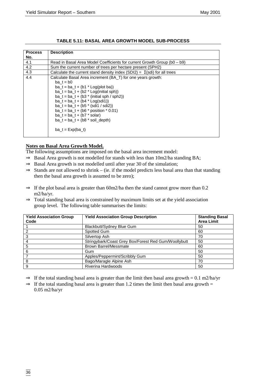| <b>Process</b> | <b>Description</b>                                                              |
|----------------|---------------------------------------------------------------------------------|
| No.            |                                                                                 |
| 4.1            | Read in Basal Area Model Coefficients for current Growth Group (b0 - b9)        |
| 4.2            | Sum the current number of trees per hectare present (SPH2)                      |
| 4.3            | Calculate the current stand density index (SDI2) = $\Sigma$ (sdi) for all trees |
| 4.4            | Calculate Basal Area increment (BA_T) for one years growth:                     |
|                | $ba t = b0$                                                                     |
|                | ba_t = ba_t + (b1 $*$ Log(plot ba))                                             |
|                | ba $t = ba$ $t + (b2 * Log (initial sph))$                                      |
|                | $ba_t = ba_t + (b3 * (initial sph / sph))$                                      |
|                | $ba_t = ba_t + (b4 * Log(sdi))$                                                 |
|                | ba $t = ba + (b5 * (sdi1 / sdi2))$                                              |
|                | $ba_t = ba_t + (b6 * position * 0.01)$                                          |
|                | $ba_t = ba_t + (b7 * solar)$                                                    |
|                | $ba_t = ba_t + (b8 * soil_depth)$                                               |
|                | ba $t = Exp(ba_t)$                                                              |

### **TABLE 5.11: BASAL AREA GROWTH MODEL SUB-PROCESS**

#### **Notes on Basal Area Growth Model.**

The following assumptions are imposed on the basal area increment model:

- $\Rightarrow$  Basal Area growth is not modelled for stands with less than 10m2/ha standing BA;
- $\Rightarrow$  Basal Area growth is not modelled until after year 30 of the simulation;
- $\Rightarrow$  Stands are not allowed to shrink (ie. if the model predicts less basal area than that standing then the basal area growth is assumed to be zero);
- $\Rightarrow$  If the plot basal area is greater than 60m2/ha then the stand cannot grow more than 0.2 m2/ha/yr.
- ⇒ Total standing basal area is constrained by maximum limits set at the yield association group level. The following table summarises the limits:

| <b>Yield Association Group</b><br>Code | <b>Yield Association Group Description</b>           | <b>Standing Basal</b><br><b>Area Limit</b> |
|----------------------------------------|------------------------------------------------------|--------------------------------------------|
|                                        | Blackbutt/Sydney Blue Gum                            | 50                                         |
| 2                                      | Spotted Gum                                          | 60                                         |
| 3                                      | Silvertop Ash                                        | 70                                         |
|                                        | Stringybark/Coast Grey Box/Forest Red Gum/Woollybutt | 50                                         |
| 5                                      | <b>Brown Barrel/Messmate</b>                         | 60                                         |
| 6                                      | Gum                                                  | 50                                         |
|                                        | Apples/Peppermint/Scribbly Gum                       | 50                                         |
| 8                                      | Bago/Maragle Alpine Ash                              | 70                                         |
| 9                                      | Riverina Hardwoods                                   | 50                                         |

 $\Rightarrow$  If the total standing basal area is greater than the limit then basal area growth = 0.1 m2/ha/yr

 $\Rightarrow$  If the total standing basal area is greater than 1.2 times the limit then basal area growth = 0.05 m2/ha/yr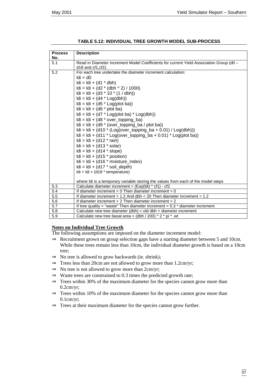| <b>Process</b>                                                    | <b>Description</b>                                                                      |  |  |
|-------------------------------------------------------------------|-----------------------------------------------------------------------------------------|--|--|
| No.                                                               |                                                                                         |  |  |
| 5.1                                                               | Read in Diameter Increment Model Coefficients for current Yield Association Group (d0 - |  |  |
|                                                                   | $d18$ and $cf1, cf2$ ).                                                                 |  |  |
| 5.2                                                               | For each tree undertake the diameter increment calculation:                             |  |  |
|                                                                   | $Idi = d0$                                                                              |  |  |
|                                                                   | $Idi = Idi + (d1 * dbh)$                                                                |  |  |
|                                                                   | $Idi = Idi + (d2 * (dbh \wedge 2) / 1000)$                                              |  |  |
|                                                                   | $Idi = Idi + (d3 * 10 * (1 / dbh))$                                                     |  |  |
|                                                                   | $Idi = Idi + (d4 * Log(dbh))$                                                           |  |  |
|                                                                   | $Idi = Idi + (d5 * Log(plot ba))$                                                       |  |  |
|                                                                   | $Idi = Idi + (d6 * plot ba)$                                                            |  |  |
|                                                                   | $Idi = Idi + (d7 * Log(plot ba) * Log(dbh))$                                            |  |  |
|                                                                   | $Idi = Idi + (d8 * over_topping_ba)$                                                    |  |  |
|                                                                   | $Idi = Idi + (d9 * (over_topping_ba / plot ba))$                                        |  |  |
|                                                                   | $Idi = Idi + (d10 * (Log(over_topping_ba + 0.01) / Log(dbh)))$                          |  |  |
| $Idi = Idi + (d11 * Log(over\_topping_ba + 0.01) * Log(plot ba))$ |                                                                                         |  |  |
|                                                                   | $Idi = Idi + (d12 * rain)$                                                              |  |  |
|                                                                   | $Idi = Idi + (d13 * solar)$                                                             |  |  |
|                                                                   | $Idi = Idi + (d14 * slope)$                                                             |  |  |
|                                                                   | $Idi = Idi + (d15 * position)$                                                          |  |  |
|                                                                   | $Idi = Idi + (d16 * moisture_index)$                                                    |  |  |
|                                                                   | $Idi = Idi + (d17 * soil\_depth)$                                                       |  |  |
|                                                                   | $Idi = Idi + (d18 * temperature)$                                                       |  |  |
|                                                                   |                                                                                         |  |  |
|                                                                   | where Idi is a temporary variable storing the values from each of the model steps       |  |  |
| 5.3                                                               | Calculate diameter increment = $(Expildi) * cf1) - cf2$                                 |  |  |
| 5.4                                                               | If diameter increment $< 0$ Then diameter increment = 0                                 |  |  |
| 5.5                                                               | If diameter increment $> 1.2$ And dbh $<$ 20 Then diameter increment = 1.2              |  |  |
| 5.6                                                               | If diameter increment $> 2$ Then diameter increment = 2                                 |  |  |
| 5.7                                                               | If tree quality = "waste" Then diameter increment = $0.3$ * diameter increment          |  |  |
| 5.8                                                               | Calculate new tree diameter $(dbh) = old dbh + diameter increment$                      |  |  |
| 5.9                                                               | Calculate new tree basal area = $(dbh / 200)$ ^ 2 * pi * .wt                            |  |  |

**TABLE 5.12: INDIVIDUAL TREE GROWTH MODEL SUB-PROCESS**

#### **Notes on Individual Tree Growth**

The following assumptions are imposed on the diameter increment model:

- ⇒ Recruitment grown on group selection gaps have a starting diameter between 5 and 10cm. While these trees remain less than 10cm, the individual diameter growth is based on a 10cm tree;
- $\Rightarrow$  No tree is allowed to grow backwards (ie. shrink);
- ⇒ Trees less than 20cm are not allowed to grow more than 1.2cm/yr;
- $\Rightarrow$  No tree is not allowed to grow more than 2cm/yr;
- $\Rightarrow$  Waste trees are constrained to 0.3 times the predicted growth rate;
- ⇒ Trees within 30% of the maximum diameter for the species cannot grow more than 0.2cm/yr;
- ⇒ Trees within 10% of the maximum diameter for the species cannot grow more than 0.1cm/yr;
- $\Rightarrow$  Trees at their maximum diameter for the species cannot grow further.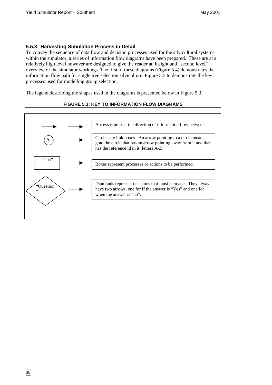### **5.5.3 Harvesting Simulation Process in Detail**

To convey the sequence of data flow and decision processes used for the silvicultural systems within the simulator, a series of information flow diagrams have been prepared. These are at a relatively high level however are designed to give the reader an insight and "second level" overview of the simulator workings. The first of these diagrams (Figure 5.4) demonstrates the information flow path for single tree selection silviculture. Figure 5.5 to demonstrate the key processes used for modelling group selection.

The legend describing the shapes used in the diagrams is presented below in Figure 5.3.



#### **FIGURE 5.3: KEY TO INFORMATION FLOW DIAGRAMS**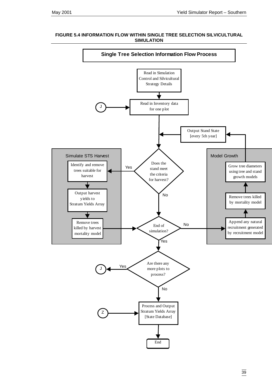

#### **FIGURE 5.4 INFORMATION FLOW WITHIN SINGLE TREE SELECTION SILVICULTURAL SIMULATION**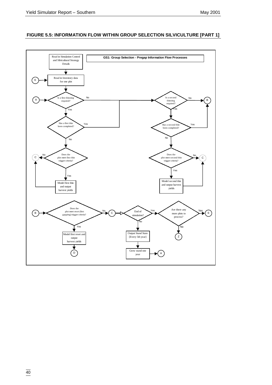#### **FIGURE 5.5: INFORMATION FLOW WITHIN GROUP SELECTION SILVICULTURE [PART 1]**

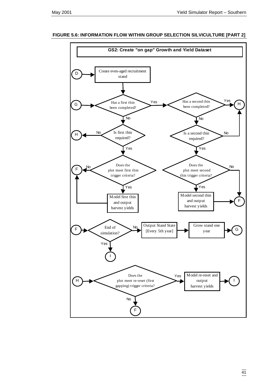

#### **FIGURE 5.6: INFORMATION FLOW WITHIN GROUP SELECTION SILVICULTURE [PART 2]**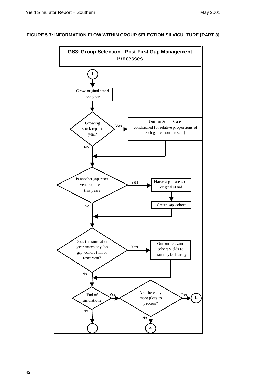#### **FIGURE 5.7: INFORMATION FLOW WITHIN GROUP SELECTION SILVICULTURE [PART 3]**

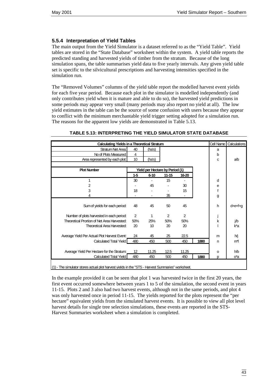#### **5.5.4 Interpretation of Yield Tables**

The main output from the Yield Simulator is a dataset referred to as the "Yield Table". Yield tables are stored in the "State Database" worksheet within the system. A yield table reports the predicted standing and harvested yields of timber from the stratum. Because of the long simulation spans, the table summarises yield data to five yearly intervals. Any given yield table set is specific to the silvicultural prescriptions and harvesting intensities specified in the simulation run.

The "Removed Volumes" columns of the yield table report the modelled harvest event yields for each five year period. Because each plot in the simulator is modelled independently (and only contributes yield when it is mature and able to do so), the harvested yield predictions in some periods may appear very small (many periods may also report no yield at all). The low yield estimates in the table can be the source of some confusion with users because they appear to conflict with the minimum merchantable yield trigger setting adopted for a simulation run. The reasons for the apparent low yields are demonstrated in Table 5.13.

| <b>Calculating Yields in a Theoretical Stratum</b> |                 |                                 |           |                |      | <b>Cell Name</b> | Calculations         |
|----------------------------------------------------|-----------------|---------------------------------|-----------|----------------|------|------------------|----------------------|
| <b>Stratum Net Area:</b>                           | 40              | (ha's)                          |           |                |      | a                |                      |
| No of Plots Measured:                              | 4               |                                 |           |                |      | b                |                      |
| Area represented by each plot:                     | 10              | (ha's)                          |           |                |      | C                | a/b                  |
|                                                    |                 |                                 |           |                |      |                  |                      |
| <b>Plot Number</b>                                 |                 | Yield per Hectare by Period (1) |           |                |      |                  |                      |
|                                                    | $1 - 5$         | $6 - 10$                        | $11 - 15$ | 16-20          |      |                  |                      |
| 1                                                  | 30              | $\overline{\phantom{0}}$        | 15        |                |      | d                |                      |
| 2                                                  |                 | 45                              |           | 30             |      | е                |                      |
| 3                                                  | 18              |                                 |           | 15             |      | f                |                      |
| 4                                                  |                 |                                 | 35        |                |      | g                |                      |
|                                                    |                 |                                 |           |                |      |                  |                      |
| Sum of yields for each period:                     | 48              | 45                              | 50        | 45             |      | h                | d <del>ici</del> f+g |
|                                                    |                 |                                 |           |                |      |                  |                      |
| Number of plots harvested in each period:          | 2               | 1                               | 2         | $\overline{2}$ |      |                  |                      |
| Theoretical Prortion of Net Area Harvested:        | 50%             | 25%                             | 50%       | 50%            |      | k                | j/b                  |
| <b>Theoretical Area Harvested:</b>                 | 20              | 10 <sup>°</sup>                 | 20        | 20             |      |                  | k*a                  |
|                                                    |                 |                                 |           |                |      |                  |                      |
| Average Yield Per Actual Plot Harvest Event:       | 24              | 45                              | 25        | 22.5           |      | m                | h/j                  |
| <b>Calculated Total Yield:</b>                     | 480             | 450                             | 500       | 450            | 1880 | n                | m*l                  |
|                                                    |                 |                                 |           |                |      |                  |                      |
| Average Yield Per Hectare for the Stratum:         | 12 <sup>°</sup> | 11.25                           | 12.5      | 11.25          |      | O                | h/b                  |
| Calculated Total Yield:                            | 480             | 450                             | 500       | 450            | 1880 | D                | o*a                  |
|                                                    |                 |                                 |           |                |      |                  |                      |

#### **TABLE 5.13: INTERPRETING THE YIELD SIMULATOR STATE DATABASE**

(1) - The simulator stores actual plot harvest yields in the "STS - Harvest Summaries" worksheet.

In the example provided it can be seen that plot 1 was harvested twice in the first 20 years, the first event occurred somewhere between years 1 to 5 of the simulation, the second event in years 11-15. Plots 2 and 3 also had two harvest events, although not in the same periods, and plot 4 was only harvested once in period 11-15. The yields reported for the plots represent the "per hectare" equivalent yields from the simulated harvest events. It is possible to view all plot level harvest details for single tree selection simulations, these events are reported in the STS-Harvest Summaries worksheet when a simulation is completed.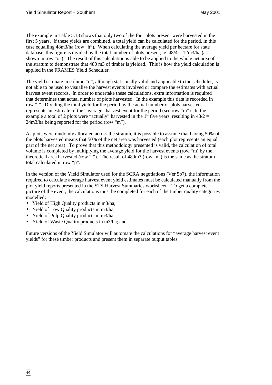The example in Table 5.13 shows that only two of the four plots present were harvested in the first 5 years. If these yields are combined, a total yield can be calculated for the period, in this case equalling 48m3/ha (row "h"). When calculating the average yield per hectare for state database, this figure is divided by the total number of plots present, ie.  $48/4 = 12$ m $3$ /ha (as shown in row "o"). The result of this calculation is able to be applied to the whole net area of the stratum to demonstrate that 480 m3 of timber is yielded. This is how the yield calculation is applied in the FRAMES Yield Scheduler.

The yield estimate in column "o", although statistically valid and applicable to the scheduler, is not able to be used to visualise the harvest events involved or compare the estimates with actual harvest event records. In order to undertake these calculations, extra information is required that determines that actual number of plots harvested. In the example this data is recorded in row "j". Dividing the total yield for the period by the actual number of plots harvested represents an estimate of the "average" harvest event for the period (see row "m"). In the example a total of 2 plots were "actually" harvested in the  $1<sup>st</sup>$  five years, resulting in 48/2 = 24m3/ha being reported for the period (row "m").

As plots were randomly allocated across the stratum, it is possible to assume that having 50% of the plots harvested means that 50% of the net area was harvested (each plot represents an equal part of the net area). To prove that this methodology presented is valid, the calculation of total volume is completed by multiplying the average yield for the harvest events (row "m) by the theoretical area harvested (row "l"). The result of 480m3 (row "n") is the same as the stratum total calculated in row "p".

In the version of the Yield Simulator used for the SCRA negotiations (Ver 5b7), the information required to calculate average harvest event yield estimates must be calculated manually from the plot yield reports presented in the STS-Harvest Summaries worksheet. To get a complete picture of the event, the calculations must be completed for each of the timber quality categories modelled:

- Yield of High Quality products in m3/ha;
- Yield of Low Quality products in m3/ha;
- Yield of Pulp Quality products in m3/ha;
- Yield of Waste Quality products in m3/ha; and

Future versions of the Yield Simulator will automate the calculations for "average harvest event yields" for these timber products and present them in separate output tables.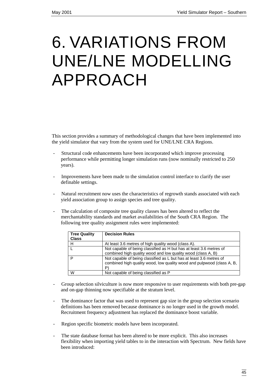# 6. VARIATIONS FROM UNE/LNE MODELLING APPROACH

This section provides a summary of methodological changes that have been implemented into the yield simulator that vary from the system used for UNE/LNE CRA Regions.

- Structural code enhancements have been incorporated which improve processing performance while permitting longer simulation runs (now nominally restricted to 250 years).
- Improvements have been made to the simulation control interface to clarify the user definable settings.
- Natural recruitment now uses the characteristics of regrowth stands associated with each yield association group to assign species and tree quality.
- The calculation of composite tree quality classes has been altered to reflect the merchantability standards and market availabilities of the South CRA Region. The following tree quality assignment rules were implemented:

| <b>Tree Quality</b> | <b>Decision Rules</b>                                                                                                                              |
|---------------------|----------------------------------------------------------------------------------------------------------------------------------------------------|
| <b>Class</b>        |                                                                                                                                                    |
| н                   | At least 3.6 metres of high quality wood (class A).                                                                                                |
|                     | Not capable of being classified as H but has at least 3.6 metres of                                                                                |
|                     | combined high quality wood and low quality wood (class A, B)                                                                                       |
| P                   | Not capable of being classified as L but has at least 3.6 metres of<br>combined high quality wood, low quality wood and pulpwood (class A, B,<br>P |
| W                   | Not capable of being classified as P                                                                                                               |

- Group selection silviculture is now more responsive to user requirements with both pre-gap and on-gap thinning now specifiable at the stratum level.
- The dominance factor that was used to represent gap size in the group selection scenario definitions has been removed because dominance is no longer used in the growth model. Recruitment frequency adjustment has replaced the dominance boost variable.
- Region specific biometric models have been incorporated.
- The state database format has been altered to be more explicit. This also increases flexibility when importing yield tables to in the interaction with Spectrum. New fields have been introduced: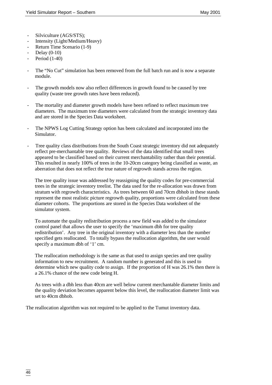- Silviculture (AGS/STS);
- Intensity (Light/Medium/Heavy)
- Return Time Scenario (1-9)
- Delay (0-10)
- Period (1-40)
- The "No Cut" simulation has been removed from the full batch run and is now a separate module.
- The growth models now also reflect differences in growth found to be caused by tree quality (waste tree growth rates have been reduced).
- The mortality and diameter growth models have been refined to reflect maximum tree diameters. The maximum tree diameters were calculated from the strategic inventory data and are stored in the Species Data worksheet.
- The NPWS Log Cutting Strategy option has been calculated and incorporated into the Simulator.
- Tree quality class distributions from the South Coast strategic inventory did not adequately reflect pre-merchantable tree quality. Reviews of the data identified that small trees appeared to be classified based on their current merchantability rather than their potential. This resulted in nearly 100% of trees in the 10-20cm category being classified as waste, an aberration that does not reflect the true nature of regrowth stands across the region.

The tree quality issue was addressed by reassigning the quality codes for pre-commercial trees in the strategic inventory treelist. The data used for the re-allocation was drawn from stratum with regrowth characteristics. As trees between 60 and 70cm dbhob in these stands represent the most realistic picture regrowth quality, proportions were calculated from these diameter cohorts. The proportions are stored in the Species Data worksheet of the simulator system.

To automate the quality redistribution process a new field was added to the simulator control panel that allows the user to specify the 'maximum dbh for tree quality redistribution'. Any tree in the original inventory with a diameter less than the number specified gets reallocated. To totally bypass the reallocation algorithm, the user would specify a maximum dbh of '1' cm.

The reallocation methodology is the same as that used to assign species and tree quality information to new recruitment. A random number is generated and this is used to determine which new quality code to assign. If the proportion of H was 26.1% then there is a 26.1% chance of the new code being H.

As trees with a dbh less than 40cm are well below current merchantable diameter limits and the quality deviation becomes apparent below this level, the reallocation diameter limit was set to 40cm dbhob.

The reallocation algorithm was not required to be applied to the Tumut inventory data.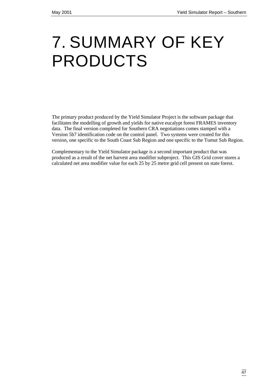# 7. SUMMARY OF KEY PRODUCTS

The primary product produced by the Yield Simulator Project is the software package that facilitates the modelling of growth and yields for native eucalypt forest FRAMES inventory data. The final version completed for Southern CRA negotiations comes stamped with a Version 5b7 identification code on the control panel. Two systems were created for this version, one specific to the South Coast Sub Region and one specific to the Tumut Sub Region.

Complementary to the Yield Simulator package is a second important product that was produced as a result of the net harvest area modifier subproject. This GIS Grid cover stores a calculated net area modifier value for each 25 by 25 metre grid cell present on state forest.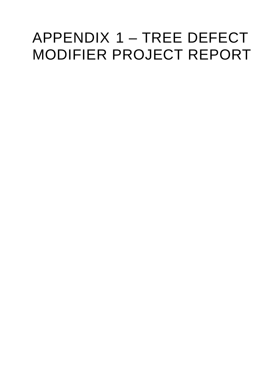# APPENDIX 1 – TREE DEFECT MODIFIER PROJECT REPORT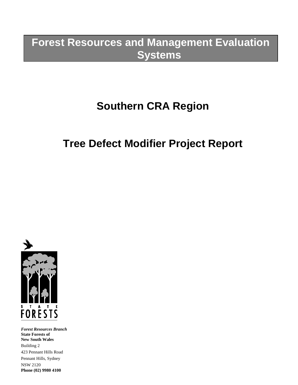# **Forest Resources and Management Evaluation Systems**

# **Southern CRA Region**

# **Tree Defect Modifier Project Report**



*Forest Resources Branch* **State Forests of New South Wales** Building 2 423 Pennant Hills Road Pennant Hills, Sydney NSW 2120 **Phone (02) 9980 4100**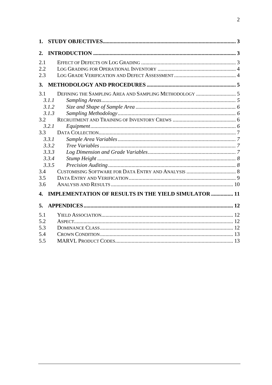| 1.  |                                                             |  |
|-----|-------------------------------------------------------------|--|
| 2.  |                                                             |  |
| 2.1 |                                                             |  |
| 2.2 |                                                             |  |
| 2.3 |                                                             |  |
| 3.  |                                                             |  |
| 3.1 |                                                             |  |
|     | 3.1.1                                                       |  |
|     | 3.1.2                                                       |  |
|     | 3.1.3                                                       |  |
| 3.2 |                                                             |  |
|     | 3.2.1                                                       |  |
| 3.3 |                                                             |  |
|     | 3.3.1                                                       |  |
|     | 3.3.2                                                       |  |
|     | 3.3.3                                                       |  |
|     | 3.3.4                                                       |  |
|     | 3.3.5                                                       |  |
| 3.4 |                                                             |  |
| 3.5 |                                                             |  |
| 3.6 |                                                             |  |
| 4.  | <b>IMPLEMENTATION OF RESULTS IN THE YIELD SIMULATOR  11</b> |  |
| 5.  |                                                             |  |
| 5.1 |                                                             |  |
| 5.2 |                                                             |  |
| 5.3 |                                                             |  |
| 5.4 |                                                             |  |
| 5.5 |                                                             |  |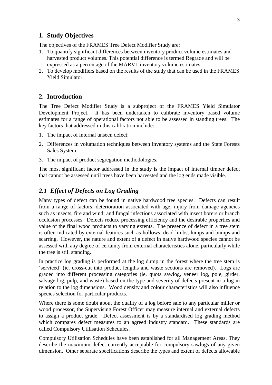# **1. Study Objectives**

The objectives of the FRAMES Tree Defect Modifier Study are:

- 1. To quantify significant differences between inventory product volume estimates and harvested product volumes. This potential difference is termed Regrade and will be expressed as a percentage of the MARVL inventory volume estimates.
- 2. To develop modifiers based on the results of the study that can be used in the FRAMES Yield Simulator.

# **2. Introduction**

The Tree Defect Modifier Study is a subproject of the FRAMES Yield Simulator Development Project. It has been undertaken to calibrate inventory based volume estimates for a range of operational factors not able to be assessed in standing trees. The key factors that addressed in this calibration include:

- 1. The impact of internal unseen defect;
- 2. Differences in volumation techniques between inventory systems and the State Forests Sales System;
- 3. The impact of product segregation methodologies.

The most significant factor addressed in the study is the impact of internal timber defect that cannot be assessed until trees have been harvested and the log ends made visible.

# *2.1 Effect of Defects on Log Grading*

Many types of defect can be found in native hardwood tree species. Defects can result from a range of factors: deterioration associated with age; injury from damage agencies such as insects, fire and wind; and fungal infections associated with insect borers or branch occlusion processes. Defects reduce processing efficiency and the desirable properties and value of the final wood products to varying extents. The presence of defect in a tree stem is often indicated by external features such as hollows, dead limbs, lumps and bumps and scarring. However, the nature and extent of a defect in native hardwood species cannot be assessed with any degree of certainty from external characteristics alone, particularly while the tree is still standing.

In practice log grading is performed at the log dump in the forest where the tree stem is 'serviced' (ie. cross-cut into product lengths and waste sections are removed). Logs are graded into different processing categories (ie. quota sawlog, veneer log, pole, girder, salvage log, pulp, and waste) based on the type and severity of defects present in a log in relation to the log dimensions. Wood density and colour characteristics will also influence species selection for particular products.

Where there is some doubt about the quality of a log before sale to any particular miller or wood processor, the Supervising Forest Officer may measure internal and external defects to assign a product grade. Defect assessment is by a standardised log grading method which compares defect measures to an agreed industry standard. These standards are called Compulsory Utilisation Schedules.

Compulsory Utilisation Schedules have been established for all Management Areas. They describe the maximum defect currently acceptable for compulsory sawlogs of any given dimension. Other separate specifications describe the types and extent of defects allowable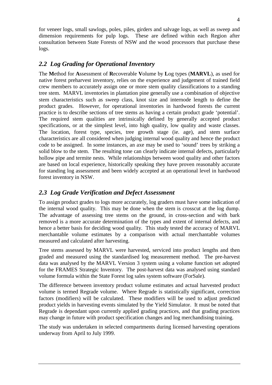for veneer logs, small sawlogs, poles, piles, girders and salvage logs, as well as sweep and dimension requirements for pulp logs. These are defined within each Region after consultation between State Forests of NSW and the wood processors that purchase these logs.

# *2.2 Log Grading for Operational Inventory*

The **M**ethod for **A**ssessment of **R**ecoverable **V**olume by **L**og types (**MARVL**), as used for native forest preharvest inventory, relies on the experience and judgement of trained field crew members to accurately assign one or more stem quality classifications to a standing tree stem. MARVL inventories in plantation pine generally use a combination of objective stem characteristics such as sweep class, knot size and internode length to define the product grades. However, for operational inventories in hardwood forests the current practice is to describe sections of tree stems as having a certain product grade 'potential'. The required stem qualities are intrinsically defined by generally accepted product specifications, or at the simplest level, into high quality, low quality and waste classes. The location, forest type, species, tree growth stage (ie. age), and stem surface characteristics are all considered when judging internal wood quality and hence the product code to be assigned. In some instances, an axe may be used to 'sound' trees by striking a solid blow to the stem. The resulting tone can clearly indicate internal defects, particularly hollow pipe and termite nests. While relationships between wood quality and other factors are based on local experience, historically speaking they have proven reasonably accurate for standing log assessment and been widely accepted at an operational level in hardwood forest inventory in NSW.

# *2.3 Log Grade Verification and Defect Assessment*

To assign product grades to logs more accurately, log graders must have some indication of the internal wood quality. This may be done when the stem is crosscut at the log dump. The advantage of assessing tree stems on the ground, in cross-section and with bark removed is a more accurate determination of the types and extent of internal defects, and hence a better basis for deciding wood quality. This study tested the accuracy of MARVL merchantable volume estimates by a comparison with actual merchantable volumes measured and calculated after harvesting.

Tree stems assessed by MARVL were harvested, serviced into product lengths and then graded and measured using the standardised log measurement method. The pre-harvest data was analysed by the MARVL Version 3 system using a volume function set adopted for the FRAMES Strategic Inventory. The post-harvest data was analysed using standard volume formula within the State Forest log sales system software (ForSale).

The difference between inventory product volume estimates and actual harvested product volume is termed Regrade volume. Where Regrade is statistically significant, correction factors (modifiers) will be calculated. These modifiers will be used to adjust predicted product yields in harvesting events simulated by the Yield Simulator. It must be noted that Regrade is dependant upon currently applied grading practices, and that grading practices may change in future with product specification changes and log merchandising training.

The study was undertaken in selected compartments during licensed harvesting operations underway from April to July 1999.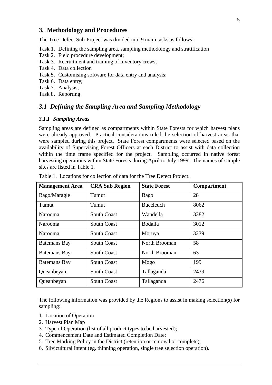### **3. Methodology and Procedures**

The Tree Defect Sub-Project was divided into 9 main tasks as follows:

- Task 1. Defining the sampling area, sampling methodology and stratification
- Task 2. Field procedure development;
- Task 3. Recruitment and training of inventory crews;
- Task 4. Data collection
- Task 5. Customising software for data entry and analysis;
- Task 6. Data entry;
- Task 7. Analysis;
- Task 8. Reporting

### *3.1 Defining the Sampling Area and Sampling Methodology*

#### *3.1.1 Sampling Areas*

Sampling areas are defined as compartments within State Forests for which harvest plans were already approved. Practical considerations ruled the selection of harvest areas that were sampled during this project. State Forest compartments were selected based on the availability of Supervising Forest Officers at each District to assist with data collection within the time frame specified for the project. Sampling occurred in native forest harvesting operations within State Forests during April to July 1999. The names of sample sites are listed in Table 1.

| <b>Management Area</b> | <b>CRA Sub Region</b> | <b>State Forest</b> | <b>Compartment</b> |
|------------------------|-----------------------|---------------------|--------------------|
| Bago/Maragle           | Tumut                 | Bago                | 28                 |
| Tumut                  | Tumut                 | <b>Buccleuch</b>    | 8062               |
| Narooma                | <b>South Coast</b>    | Wandella            | 3282               |
| Narooma                | <b>South Coast</b>    | <b>Bodalla</b>      | 3012               |
| Narooma                | <b>South Coast</b>    | Moruya              | 3239               |
| <b>Batemans Bay</b>    | <b>South Coast</b>    | North Brooman       | 58                 |
| <b>Batemans Bay</b>    | <b>South Coast</b>    | North Brooman       | 63                 |
| <b>Batemans Bay</b>    | <b>South Coast</b>    | Mogo                | 199                |
| Queanbeyan             | <b>South Coast</b>    | Tallaganda          | 2439               |
| Queanbeyan             | <b>South Coast</b>    | Tallaganda          | 2476               |

Table 1. Locations for collection of data for the Tree Defect Project.

The following information was provided by the Regions to assist in making selection(s) for sampling:

- 1. Location of Operation
- 2. Harvest Plan Map
- 3. Type of Operation (list of all product types to be harvested);
- 4. Commencement Date and Estimated Completion Date;
- 5. Tree Marking Policy in the District (retention or removal or complete);
- 6. Silvicultural Intent (eg. thinning operation, single tree selection operation).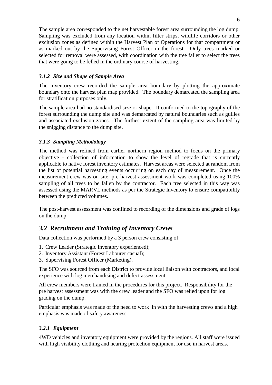The sample area corresponded to the net harvestable forest area surrounding the log dump. Sampling was excluded from any location within filter strips, wildlife corridors or other exclusion zones as defined within the Harvest Plan of Operations for that compartment or as marked out by the Supervising Forest Officer in the forest. Only trees marked or selected for removal were assessed, with coordination with the tree faller to select the trees that were going to be felled in the ordinary course of harvesting.

# *3.1.2 Size and Shape of Sample Area*

The inventory crew recorded the sample area boundary by plotting the approximate boundary onto the harvest plan map provided. The boundary demarcated the sampling area for stratification purposes only.

The sample area had no standardised size or shape. It conformed to the topography of the forest surrounding the dump site and was demarcated by natural boundaries such as gullies and associated exclusion zones. The furthest extent of the sampling area was limited by the snigging distance to the dump site.

# *3.1.3 Sampling Methodology*

The method was refined from earlier northern region method to focus on the primary objective - collection of information to show the level of regrade that is currently applicable to native forest inventory estimates. Harvest areas were selected at random from the list of potential harvesting events occurring on each day of measurement. Once the measurement crew was on site, pre-harvest assessment work was completed using 100% sampling of all trees to be fallen by the contractor. Each tree selected in this way was assessed using the MARVL methods as per the Strategic Inventory to ensure compatibility between the predicted volumes.

The post-harvest assessment was confined to recording of the dimensions and grade of logs on the dump.

# *3.2 Recruitment and Training of Inventory Crews*

Data collection was performed by a 3 person crew consisting of:

- 1. Crew Leader (Strategic Inventory experienced);
- 2. Inventory Assistant (Forest Labourer casual);
- 3. Supervising Forest Officer (Marketing).

The SFO was sourced from each District to provide local liaison with contractors, and local experience with log merchandising and defect assessment.

All crew members were trained in the procedures for this project. Responsibility for the pre harvest assessment was with the crew leader and the SFO was relied upon for log grading on the dump.

Particular emphasis was made of the need to work in with the harvesting crews and a high emphasis was made of safety awareness.

# *3.2.1 Equipment*

4WD vehicles and inventory equipment were provided by the regions. All staff were issued with high visibility clothing and hearing protection equipment for use in harvest areas.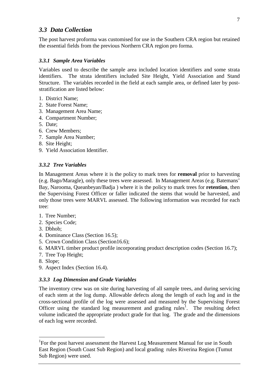## *3.3 Data Collection*

The post harvest proforma was customised for use in the Southern CRA region but retained the essential fields from the previous Northern CRA region pro forma.

### *3.3.1 Sample Area Variables*

Variables used to describe the sample area included location identifiers and some strata identifiers. The strata identifiers included Site Height, Yield Association and Stand Structure. The variables recorded in the field at each sample area, or defined later by poststratification are listed below:

- 1. District Name;
- 2. State Forest Name;
- 3. Management Area Name;
- 4. Compartment Number;
- 5. Date;
- 6. Crew Members;
- 7. Sample Area Number;
- 8. Site Height;
- 9. Yield Association Identifier.

#### *3.3.2 Tree Variables*

In Management Areas where it is the policy to mark trees for **removal** prior to harvesting (e.g. Bago/Maragle), only these trees were assessed. In Management Areas (e.g. Batemans' Bay, Narooma, Queanbeyan/Badja ) where it is the policy to mark trees for **retention**, then the Supervising Forest Officer or faller indicated the stems that would be harvested, and only those trees were MARVL assessed. The following information was recorded for each tree:

- 1. Tree Number;
- 2. Species Code;
- 3. Dbhob;
- 4. Dominance Class (Section 16.5);
- 5. Crown Condition Class (Section16.6);
- 6. MARVL timber product profile incorporating product description codes (Section 16.7);
- 7. Tree Top Height;
- 8. Slope;

 $\overline{a}$ 

9. Aspect Index (Section 16.4).

#### *3.3.3 Log Dimension and Grade Variables*

The inventory crew was on site during harvesting of all sample trees, and during servicing of each stem at the log dump. Allowable defects along the length of each log and in the cross-sectional profile of the log were assessed and measured by the Supervising Forest Officer using the standard log measurement and grading rules<sup>1</sup>. The resulting defect volume indicated the appropriate product grade for that log. The grade and the dimensions of each log were recorded.

<sup>&</sup>lt;sup>1</sup>For the post harvest assessment the Harvest Log Measurement Manual for use in South East Region (South Coast Sub Region) and local grading rules Riverina Region (Tumut Sub Region) were used.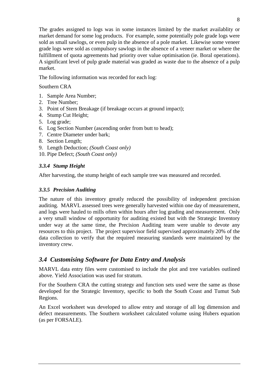The grades assigned to logs was in some instances limited by the market availablity or market demand for some log products. For example, some potentially pole grade logs were sold as small sawlogs, or even pulp in the absence of a pole market. Likewise some veneer grade logs were sold as compulsory sawlogs in the absence of a veneer market or where the fulfillment of quota agreements had priority over value optimisation (ie. Boral operations). A significant level of pulp grade material was graded as waste due to the absence of a pulp market.

The following information was recorded for each log:

Southern CRA

- 1. Sample Area Number;
- 2. Tree Number;
- 3. Point of Stem Breakage (if breakage occurs at ground impact);
- 4. Stump Cut Height;
- 5. Log grade;
- 6. Log Section Number (ascending order from butt to head);
- 7. Centre Diameter under bark;
- 8. Section Length;
- 9. Length Deduction; *(South Coast only)*
- 10. Pipe Defect; *(South Coast only)*

## *3.3.4 Stump Height*

After harvesting, the stump height of each sample tree was measured and recorded.

## *3.3.5 Precision Auditing*

The nature of this inventory greatly reduced the possibility of independent precision auditing. MARVL assessed trees were generally harvested within one day of measurement, and logs were hauled to mills often within hours after log grading and measurement. Only a very small window of opportunity for auditing existed but with the Strategic Inventory under way at the same time, the Precision Auditing team were unable to devote any resources to this project. The project supervisor field supervised approximately 20% of the data collection to verify that the required measuring standards were maintained by the inventory crew.

# *3.4 Customising Software for Data Entry and Analysis*

MARVL data entry files were customised to include the plot and tree variables outlined above. Yield Association was used for stratum.

For the Southern CRA the cutting strategy and function sets used were the same as those developed for the Strategic Inventory, specific to both the South Coast and Tumut Sub Regions.

An Excel worksheet was developed to allow entry and storage of all log dimension and defect measurements. The Southern worksheet calculated volume using Hubers equation (as per FORSALE).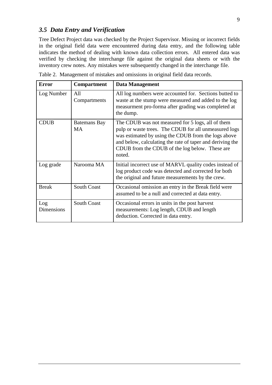# *3.5 Data Entry and Verification*

Tree Defect Project data was checked by the Project Supervisor. Missing or incorrect fields in the original field data were encountered during data entry, and the following table indicates the method of dealing with known data collection errors. All entered data was verified by checking the interchange file against the original data sheets or with the inventory crew notes. Any mistakes were subsequently changed in the interchange file.

| <b>Error</b>             | Compartment                      | <b>Data Management</b>                                                                                                                                                                                                                                                                     |
|--------------------------|----------------------------------|--------------------------------------------------------------------------------------------------------------------------------------------------------------------------------------------------------------------------------------------------------------------------------------------|
| Log Number               | All<br>Compartments              | All log numbers were accounted for. Sections butted to<br>waste at the stump were measured and added to the log<br>measurment pro-forma after grading was completed at<br>the dump.                                                                                                        |
| <b>CDUB</b>              | <b>Batemans Bay</b><br><b>MA</b> | The CDUB was not measured for 5 logs, all of them<br>pulp or waste trees. The CDUB for all unmeasured logs<br>was estimated by using the CDUB from the logs above<br>and below, calculating the rate of taper and deriving the<br>CDUB from the CDUB of the log below. These are<br>noted. |
| Log grade                | Narooma MA                       | Initial incorrect use of MARVL quality codes instead of<br>log product code was detected and corrected for both<br>the original and future measurements by the crew.                                                                                                                       |
| <b>Break</b>             | <b>South Coast</b>               | Occasional omission an entry in the Break field were<br>assumed to be a null and corrected at data entry.                                                                                                                                                                                  |
| Log<br><b>Dimensions</b> | <b>South Coast</b>               | Occasional errors in units in the post harvest<br>measurements: Log length, CDUB and length<br>deduction. Corrected in data entry.                                                                                                                                                         |

Table 2. Management of mistakes and omissions in original field data records.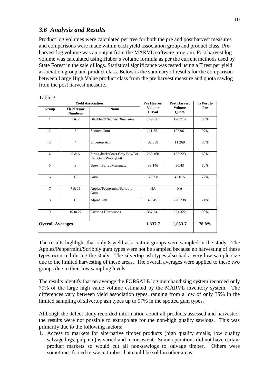# *3.6 Analysis and Results*

Product log volumes were calculated per tree for both the pre and post harvest measures and comparisons were made within each yield association group and product class. Preharvest log volume was an output from the MARVL software program. Post harvest log volume was calculated using Huber's volume formula as per the current methods used by State Forest in the sale of logs. Statistical significance was tested using a T test per yield association group and product class. Below is the summary of results for the comparison between Large High Value product class from the pre harvest measure and quota sawlog from the post harvest measure.

|                         |                                      | <b>Yield Association</b>                              | <b>Pre Harvest</b>            | <b>Post Harvest</b>    | % Post to |
|-------------------------|--------------------------------------|-------------------------------------------------------|-------------------------------|------------------------|-----------|
| Group                   | <b>Yield Assoc</b><br><b>Numbers</b> | <b>Name</b>                                           | <b>Volume</b><br><b>LHval</b> | <b>Volume</b><br>Quota | Pre       |
| $\mathbf{1}$            | 1 & 2                                | Blackbutt/ Sydney Blue Gum                            | 149.811                       | 128.714                | 86%       |
| $\overline{2}$          | 3                                    | Spotted Gum                                           | 111.851                       | 107.961                | 97%       |
| 3                       | $\overline{4}$                       | Silvertop Ash                                         | 32.358                        | 11.269                 | 35%       |
| $\overline{4}$          | 5 & 6                                | Stringybark/Coast Grey Box/For.<br>Red Gum/Woollybutt | 269.160                       | 185.223                | 69%       |
| 5                       | 9                                    | <b>Brown Barrel/Messmate</b>                          | 38.146                        | 30.43                  | 80%       |
| 6                       | 10                                   | Gum                                                   | 58.398                        | 42.015                 | 72%       |
| $\tau$                  | 7 & 11                               | Apples/Peppermint/Scribbly<br>Gum                     | NA                            | NA                     |           |
| 8                       | 18                                   | Alpine Ash                                            | 320.451                       | 226.738                | 71%       |
| 9                       | 19 to 22                             | Riverina Hardwoods                                    | 357.541                       | 321.322                | 90%       |
| <b>Overall Averages</b> |                                      |                                                       | 1,337.7                       | 1,053.7                | 78.8%     |

The results highlight that only 8 yield association groups were sampled in the study. The Apples/Peppermint/Scribbly gum types were not be sampled because no harvesting of these types occurred during the study. The silvertop ash types also had a very low sample size due to the limited harvesting of these areas. The overall averages were applied to these two groups due to their low sampling levels.

The results identify that on average the FORSALE log merchandising system recorded only 79% of the large high value volume estimated by the MARVL inventory system. The differences vary between yield association types, ranging from a low of only 35% in the limited sampling of silvertop ash types up to 97% in the spotted gum types.

Although the defect study recorded information about all products assessed and harvested, the results were not possible to extrapolate for the non-high quality sawlogs. This was primarily due to the following factors:

1. Access to markets for alternative timber products (high quality smalls, low quality salvage logs, pulp etc) is varied and inconsistent. Some operations did not have certain product markets so would cut all non-sawlogs to salvage timber. Others were sometimes forced to waste timber that could be sold in other areas.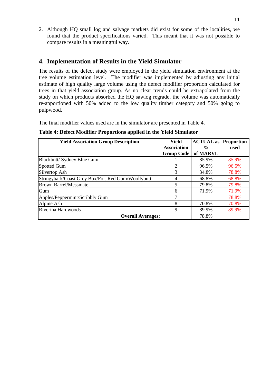2. Although HQ small log and salvage markets did exist for some of the localities, we found that the product specifications varied. This meant that it was not possible to compare results in a meaningful way.

# **4. Implementation of Results in the Yield Simulator**

The results of the defect study were employed in the yield simulation environment at the tree volume estimation level. The modifier was implemented by adjusting any initial estimate of high quality large volume using the defect modifier proportion calculated for trees in that yield association group. As no clear trends could be extrapolated from the study on which products absorbed the HQ sawlog regrade, the volume was automatically re-apportioned with 50% added to the low quality timber category and 50% going to pulpwood.

The final modifier values used are in the simulator are presented in Table 4.

| Table 4: Defect Modifier Proportions applied in the Yield Simulator |  |  |  |
|---------------------------------------------------------------------|--|--|--|
|---------------------------------------------------------------------|--|--|--|

| <b>Yield Association Group Description</b>         | Yield              | <b>ACTUAL</b> as Proportion |       |
|----------------------------------------------------|--------------------|-----------------------------|-------|
|                                                    | <b>Association</b> | $\frac{6}{10}$              | used  |
|                                                    | <b>Group Code</b>  | of MARVL                    |       |
| Blackbutt/ Sydney Blue Gum                         |                    | 85.9%                       | 85.9% |
| <b>Spotted Gum</b>                                 | 2                  | 96.5%                       | 96.5% |
| Silvertop Ash                                      | 3                  | 34.8%                       | 78.8% |
| Stringybark/Coast Grey Box/For. Red Gum/Woollybutt | 4                  | 68.8%                       | 68.8% |
| <b>Brown Barrel/Messmate</b>                       | 5                  | 79.8%                       | 79.8% |
| Gum                                                | 6                  | 71.9%                       | 71.9% |
| Apples/Peppermint/Scribbly Gum                     |                    |                             | 78.8% |
| Alpine Ash                                         | 8                  | 70.8%                       | 70.8% |
| Riverina Hardwoods                                 | 9                  | 89.9%                       | 89.9% |
| <b>Overall Averages:</b>                           |                    | 78.8%                       |       |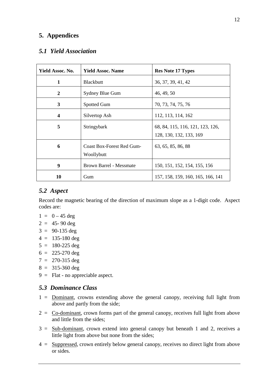# **5. Appendices**

# *5.1 Yield Association*

| Yield Assoc. No. | <b>Yield Assoc. Name</b>                | <b>Res Note 17 Types</b>                                    |
|------------------|-----------------------------------------|-------------------------------------------------------------|
| 1                | <b>Blackbutt</b>                        | 36, 37, 39, 41, 42                                          |
| 2                | Sydney Blue Gum                         | 46, 49, 50                                                  |
| 3                | Spotted Gum                             | 70, 73, 74, 75, 76                                          |
| $\boldsymbol{4}$ | Silvertop Ash                           | 112, 113, 114, 162                                          |
| 5                | Stringybark                             | 68, 84, 115, 116, 121, 123, 126,<br>128, 130, 132, 133, 169 |
| 6                | Coast Box-Forest Red Gum-<br>Woollybutt | 63, 65, 85, 86, 88                                          |
| 9                | <b>Brown Barrel - Messmate</b>          | 150, 151, 152, 154, 155, 156                                |
| 10               | Gum                                     | 157, 158, 159, 160, 165, 166, 141                           |

## *5.2 Aspect*

Record the magnetic bearing of the direction of maximum slope as a 1-digit code. Aspect codes are:

- $1 = 0 45 \text{ deg}$
- $2 = 45 90$  deg
- $3 = 90-135 \text{ deg}$
- $4 = 135 180$  deg
- $5 = 180-225 \text{ deg}$
- $6 = 225 270 \text{ deg}$
- $7 = 270 315 \text{ deg}$
- $8 = 315 360 \text{ deg}$
- 9 = Flat no appreciable aspect.

# *5.3 Dominance Class*

- 1 = Dominant, crowns extending above the general canopy, receiving full light from above and partly from the side;
- $2 = Co-dominant$ , crown forms part of the general canopy, receives full light from above and little from the sides;
- 3 = Sub-dominant, crown extend into general canopy but beneath 1 and 2, receives a little light from above but none from the sides;
- 4 = Suppressed, crown entirely below general canopy, receives no direct light from above or sides.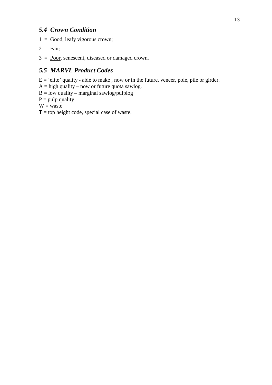# *5.4 Crown Condition*

- $1 =$  Good, leafy vigorous crown;
- $2 = \text{Fair};$
- $3 = \text{Poor}$ , senescent, diseased or damaged crown.

# *5.5 MARVL Product Codes*

 $E = 'elite'$  quality - able to make, now or in the future, veneer, pole, pile or girder.

 $A = high$  quality – now or future quota sawlog.

 $B = low$  quality – marginal sawlog/pulplog

 $P = pulp$  quality

 $W =$ waste

 $T = top height code, special case of waste.$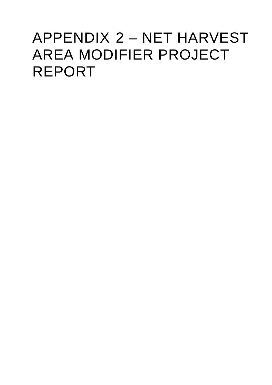# APPENDIX 2 – NET HARVEST AREA MODIFIER PROJECT REPORT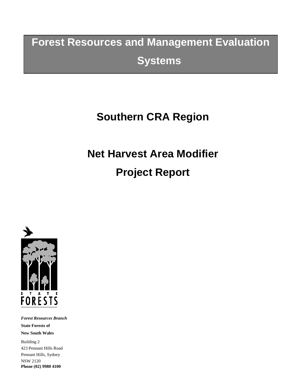# **Forest Resources and Management Evaluation Systems**

# **Southern CRA Region**

# **Net Harvest Area Modifier Project Report**



*Forest Resources Branch* **State Forests of New South Wales** Building 2 423 Pennant Hills Road Pennant Hills, Sydney NSW 2120 **Phone (02) 9980 4100**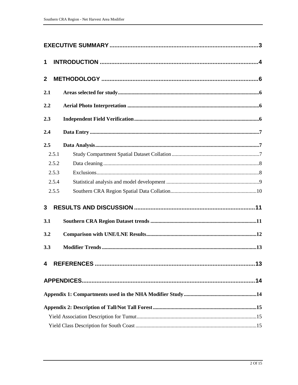| 1                |  |
|------------------|--|
| $\boldsymbol{2}$ |  |
| 2.1              |  |
| 2.2              |  |
| 2.3              |  |
| 2.4              |  |
| 2.5              |  |
| 2.5.1            |  |
| 2.5.2            |  |
| 2.5.3            |  |
| 2.5.4            |  |
| 2.5.5            |  |
| 3                |  |
| 3.1              |  |
| 3.2              |  |
| 3.3              |  |
| 4                |  |
|                  |  |
|                  |  |
|                  |  |
|                  |  |
|                  |  |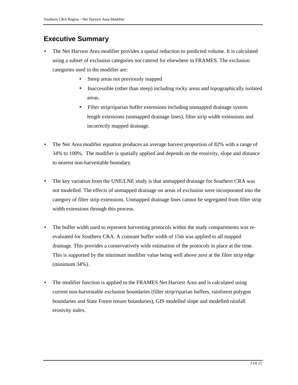# **Executive Summary**

- The Net Harvest Area modifier provides a spatial reduction to predicted volume. It is calculated using a subset of exclusion categories not catered for elsewhere in FRAMES. The exclusion categories used in the modifier are:
	- Steep areas not previously mapped
	- Inaccessible (other than steep) including rocky areas and topographically isolated areas.
	- Filter strip/riparian buffer extensions including unmapped drainage system length extensions (unmapped drainage lines), filter strip width extensions and incorrectly mapped drainage.
- The Net Area modifier equation produces an average harvest proportion of 82% with a range of 34% to 100%. The modifier is spatially applied and depends on the erosivity, slope and distance to nearest non-harvestable boundary.
- The key variation from the UNE/LNE study is that unmapped drainage for Southern CRA was not modelled. The effects of unmapped drainage on areas of exclusion were incorporated into the category of filter strip extensions. Unmapped drainage lines cannot be segregated from filter strip width extensions through this process.
- The buffer width used to represent harvesting protocols within the study compartments was reevaluated for Southern CRA. A constant buffer width of 15m was applied to all mapped drainage. This provides a conservatively wide estimation of the protocols in place at the time. This is supported by the minimum modifier value being well above zero at the filter strip edge (minimum 34%).
- The modifier function is applied to the FRAMES Net Harvest Area and is calculated using current non-harvestable exclusion boundaries (filter strip/riparian buffers, rainforest polygon boundaries and State Forest tenure boundaries), GIS modelled slope and modelled rainfall erosivity index.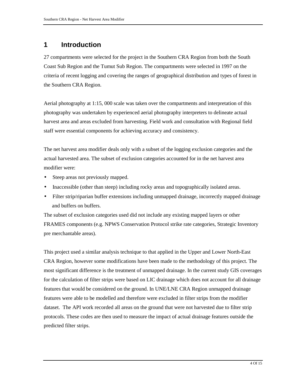# **1 Introduction**

27 compartments were selected for the project in the Southern CRA Region from both the South Coast Sub Region and the Tumut Sub Region. The compartments were selected in 1997 on the criteria of recent logging and covering the ranges of geographical distribution and types of forest in the Southern CRA Region.

Aerial photography at 1:15, 000 scale was taken over the compartments and interpretation of this photography was undertaken by experienced aerial photography interpreters to delineate actual harvest area and areas excluded from harvesting. Field work and consultation with Regional field staff were essential components for achieving accuracy and consistency.

The net harvest area modifier deals only with a subset of the logging exclusion categories and the actual harvested area. The subset of exclusion categories accounted for in the net harvest area modifier were:

- Steep areas not previously mapped.
- Inaccessible (other than steep) including rocky areas and topographically isolated areas.
- Filter strip/riparian buffer extensions including unmapped drainage, incorrectly mapped drainage and buffers on buffers.

The subset of exclusion categories used did not include any existing mapped layers or other FRAMES components (e.g. NPWS Conservation Protocol strike rate categories, Strategic Inventory pre merchantable areas).

This project used a similar analysis technique to that applied in the Upper and Lower North-East CRA Region, however some modifications have been made to the methodology of this project. The most significant difference is the treatment of unmapped drainage. In the current study GIS coverages for the calculation of filter strips were based on LIC drainage which does not account for all drainage features that would be considered on the ground. In UNE/LNE CRA Region unmapped drainage features were able to be modelled and therefore were excluded in filter strips from the modifier dataset. The API work recorded all areas on the ground that were not harvested due to filter strip protocols. These codes are then used to measure the impact of actual drainage features outside the predicted filter strips.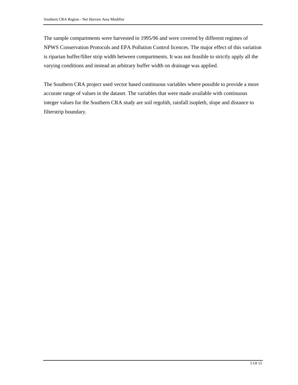The sample compartments were harvested in 1995/96 and were covered by different regimes of NPWS Conservation Protocols and EPA Pollution Control licences. The major effect of this variation is riparian buffer/filter strip width between compartments. It was not feasible to strictly apply all the varying conditions and instead an arbitrary buffer width on drainage was applied.

The Southern CRA project used vector based continuous variables where possible to provide a more accurate range of values in the dataset. The variables that were made available with continuous integer values for the Southern CRA study are soil regolith, rainfall isopleth, slope and distance to filterstrip boundary.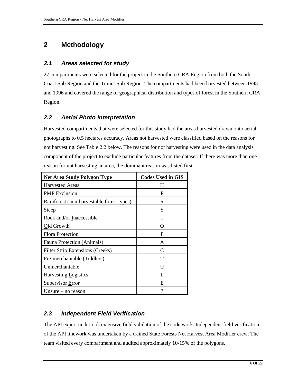# **2 Methodology**

### *2.1 Areas selected for study*

27 compartments were selected for the project in the Southern CRA Region from both the South Coast Sub Region and the Tumut Sub Region. The compartments had been harvested between 1995 and 1996 and covered the range of geographical distribution and types of forest in the Southern CRA Region.

# *2.2 Aerial Photo Interpretation*

Harvested compartments that were selected for this study had the areas harvested drawn onto aerial photographs to 0.5 hectares accuracy. Areas not harvested were classified based on the reasons for not harvesting. See Table 2.2 below. The reasons for not harvesting were used in the data analysis component of the project to exclude particular features from the dataset. If there was more than one reason for not harvesting an area, the dominant reason was listed first.

| <b>Net Area Study Polygon Type</b>        | <b>Codes Used in GIS</b> |
|-------------------------------------------|--------------------------|
| <b>Harvested Areas</b>                    | H                        |
| <b>PMP</b> Exclusion                      | P                        |
| Rainforest (non-harvestable forest types) | R                        |
| Step                                      | S                        |
| Rock and/or Inaccessible                  |                          |
| Old Growth                                | 0                        |
| <b>Flora Protection</b>                   | F                        |
| Fauna Protection (Animals)                | A                        |
| <b>Filter Strip Extensions (Creeks)</b>   | C                        |
| Pre-merchantable (Tiddlers)               | т                        |
| Unmerchantable                            | U                        |
| Harvesting Logistics                      | L                        |
| Supervisor Error                          | E                        |
| Unsure $-$ no reason                      | ?                        |

## *2.3 Independent Field Verification*

The API expert undertook extensive field validation of the code work. Independent field verification of the API linework was undertaken by a trained State Forests Net Harvest Area Modifier crew. The team visited every compartment and audited approximately 10-15% of the polygons.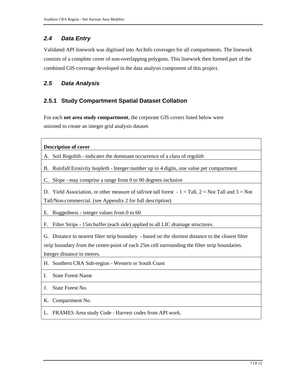# *2.4 Data Entry*

Validated API linework was digitised into ArcInfo coverages for all compartments. The linework consists of a complete cover of non-overlapping polygons. This linework then formed part of the combined GIS coverage developed in the data analysis component of this project.

## *2.5 Data Analysis*

### **2.5.1 Study Compartment Spatial Dataset Collation**

For each **net area study compartment**, the corporate GIS covers listed below were unioned to create an integer grid analysis dataset.

| <b>Description of cover</b>                                                                              |
|----------------------------------------------------------------------------------------------------------|
| A. Soil Regolith - indicates the dominant occurrence of a class of regolith                              |
| B. Rainfall Erosivity Isopleth - Integer number up to 4 digits, one value per compartment                |
| Slope - may comprise a range from 0 to 90 degrees inclusive<br>C.                                        |
| D. Yield Association, or other measure of tall/not tall forest $-1 =$ Tall, $2 =$ Not Tall and $3 =$ Not |
| Tall/Non-commercial. (see Appendix 2 for full description)                                               |
| Ruggedness - integer values from $0$ to $60$<br>Е.                                                       |
| Filter Strips - 15m buffer (each side) applied to all LIC drainage structures.<br>F.                     |
| G. Distance to nearest filter strip boundary - based on the shortest distance to the closest filter      |
| strip boundary from the centre-point of each 25m cell surrounding the filter strip boundaries.           |
| Integer distance in metres.                                                                              |
| H. Southern CRA Sub-region - Western or South Coast                                                      |
| <b>State Forest Name</b><br>I.                                                                           |
| State Forest No.<br>J.                                                                                   |
| K. Compartment No.                                                                                       |
| L. FRAMES Area study Code - Harvest codes from API work.                                                 |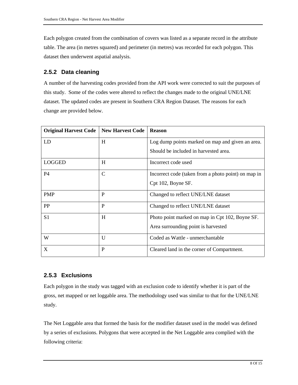Each polygon created from the combination of covers was listed as a separate record in the attribute table. The area (in metres squared) and perimeter (in metres) was recorded for each polygon. This dataset then underwent aspatial analysis.

### **2.5.2 Data cleaning**

A number of the harvesting codes provided from the API work were corrected to suit the purposes of this study. Some of the codes were altered to reflect the changes made to the original UNE/LNE dataset. The updated codes are present in Southern CRA Region Dataset. The reasons for each change are provided below.

| <b>Original Harvest Code</b> | <b>New Harvest Code</b> | <b>Reason</b>                                       |
|------------------------------|-------------------------|-----------------------------------------------------|
| LD                           | H                       | Log dump points marked on map and given an area.    |
|                              |                         | Should be included in harvested area.               |
| <b>LOGGED</b>                | H                       | Incorrect code used                                 |
| P4                           | $\mathcal{C}$           | Incorrect code (taken from a photo point) on map in |
|                              |                         | Cpt 102, Boyne SF.                                  |
| <b>PMP</b>                   | P                       | Changed to reflect UNE/LNE dataset                  |
| PP                           | P                       | Changed to reflect UNE/LNE dataset                  |
| S <sub>1</sub>               | H                       | Photo point marked on map in Cpt 102, Boyne SF.     |
|                              |                         | Area surrounding point is harvested                 |
| W                            | $\mathbf{U}$            | Coded as Wattle - unmerchantable                    |
| X                            | P                       | Cleared land in the corner of Compartment.          |

## **2.5.3 Exclusions**

Each polygon in the study was tagged with an exclusion code to identify whether it is part of the gross, net mapped or net loggable area. The methodology used was similar to that for the UNE/LNE study.

The Net Loggable area that formed the basis for the modifier dataset used in the model was defined by a series of exclusions. Polygons that were accepted in the Net Loggable area complied with the following criteria: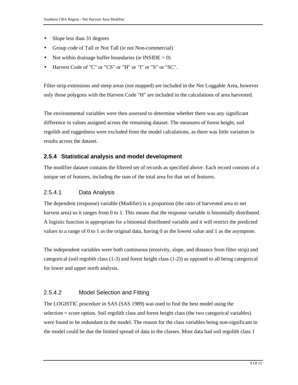- Slope less than 31 degrees
- Group code of Tall or Not Tall (ie not Non-commercial)
- Not within drainage buffer boundaries (ie INSIDE  $= 0$ )
- Harvest Code of "C" or "CS" or "H" or "I" or "S" or "SC".

Filter strip extensions and steep areas (not mapped) are included in the Net Loggable Area, however only those polygons with the Harvest Code "H" are included in the calculations of area harvested.

The environmental variables were then assessed to determine whether there was any significant difference in values assigned across the remaining dataset. The measures of forest height, soil regolith and ruggedness were excluded from the model calculations, as there was little variation in results across the dataset.

#### **2.5.4 Statistical analysis and model development**

The modifier dataset contains the filtered set of records as specified above. Each record consists of a unique set of features, including the sum of the total area for that set of features.

#### 2.5.4.1 Data Analysis

The dependent (response) variable (Modifier) is a proportion (the ratio of harvested area to net harvest area) so it ranges from 0 to 1. This means that the response variable is binomially distributed. A logistic function is appropriate for a binomial distributed variable and it will restrict the predicted values to a range of 0 to 1 as the original data, having 0 as the lowest value and 1 as the asymptote.

The independent variables were both continuous (erosivity, slope, and distance from filter strip) and categorical (soil regolith class (1-3) and forest height class (1-2)) as opposed to all being categorical for lower and upper north analysis.

#### 2.5.4.2 Model Selection and Fitting

The LOGISTIC procedure in SAS (SAS 1989) was used to find the best model using the selection = score option. Soil regolith class and forest height class (the two categorical variables) were found to be redundant in the model. The reason for the class variables being non-significant in the model could be due the limited spread of data in the classes. Most data had soil regolith class 1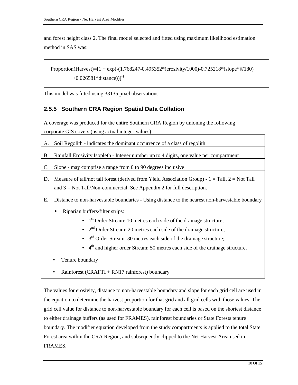and forest height class 2. The final model selected and fitted using maximum likelihood estimation method in SAS was:

Proportion(Harvest)= $[1 + \exp(-(1.768247 - 0.495352*)(\text{erosity}/1000) - 0.725218*(\text{slope}*\pi/180)]$  $+0.026581*distance)$ ]<sup>-1</sup>

This model was fitted using 33135 pixel observations.

#### **2.5.5 Southern CRA Region Spatial Data Collation**

A coverage was produced for the entire Southern CRA Region by unioning the following corporate GIS covers (using actual integer values):

- A. Soil Regolith indicates the dominant occurrence of a class of regolith
- B. Rainfall Erosivity Isopleth Integer number up to 4 digits, one value per compartment
- C. Slope may comprise a range from 0 to 90 degrees inclusive
- D. Measure of tall/not tall forest (derived from Yield Association Group)  $1 = \text{Tall}, 2 = \text{Not Tall}$ and 3 = Not Tall/Non-commercial. See Appendix 2 for full description.
- E. Distance to non-harvestable boundaries Using distance to the nearest non-harvestable boundary
	- Riparian buffers/filter strips:
		- $1<sup>st</sup> Order Stream: 10 metres each side of the drainage structure;$
		- $2<sup>nd</sup>$  Order Stream: 20 metres each side of the drainage structure;
		- $\bullet$  3<sup>rd</sup> Order Stream: 30 metres each side of the drainage structure;
		- $\bullet$  4<sup>th</sup> and higher order Stream: 50 metres each side of the drainage structure.
	- Tenure boundary
	- Rainforest (CRAFTI + RN17 rainforest) boundary

The values for erosivity, distance to non-harvestable boundary and slope for each grid cell are used in the equation to determine the harvest proportion for that grid and all grid cells with those values. The grid cell value for distance to non-harvestable boundary for each cell is based on the shortest distance to either drainage buffers (as used for FRAMES), rainforest boundaries or State Forests tenure boundary. The modifier equation developed from the study compartments is applied to the total State Forest area within the CRA Region, and subsequently clipped to the Net Harvest Area used in **FRAMES**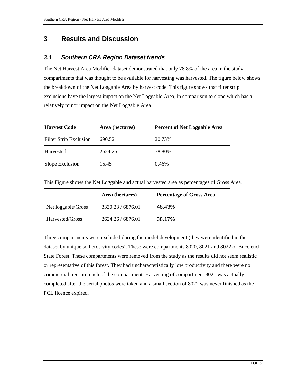# **3 Results and Discussion**

# *3.1 Southern CRA Region Dataset trends*

The Net Harvest Area Modifier dataset demonstrated that only 78.8% of the area in the study compartments that was thought to be available for harvesting was harvested. The figure below shows the breakdown of the Net Loggable Area by harvest code. This figure shows that filter strip exclusions have the largest impact on the Net Loggable Area, in comparison to slope which has a relatively minor impact on the Net Loggable Area.

| <b>Harvest Code</b>           | Area (hectares) | <b>Percent of Net Loggable Area</b> |
|-------------------------------|-----------------|-------------------------------------|
| <b>Filter Strip Exclusion</b> | 690.52          | 20.73%                              |
| Harvested                     | 2624.26         | 78.80%                              |
| Slope Exclusion               | 15.45           | 0.46%                               |

This Figure shows the Net Loggable and actual harvested area as percentages of Gross Area.

|                    | Area (hectares) | <b>Percentage of Gross Area</b> |
|--------------------|-----------------|---------------------------------|
| Net loggable/Gross | 3330.23/6876.01 | 48.43%                          |
| Harvested/Gross    | 2624.26/6876.01 | 38.17%                          |

Three compartments were excluded during the model development (they were identified in the dataset by unique soil erosivity codes). These were compartments 8020, 8021 and 8022 of Buccleuch State Forest. These compartments were removed from the study as the results did not seem realistic or representative of this forest. They had uncharacteristically low productivity and there were no commercial trees in much of the compartment. Harvesting of compartment 8021 was actually completed after the aerial photos were taken and a small section of 8022 was never finished as the PCL licence expired.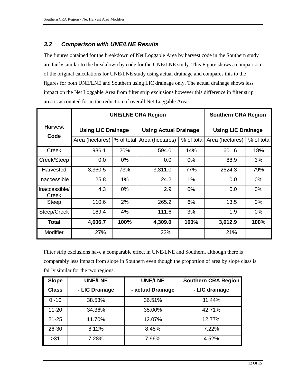# *3.2 Comparison with UNE/LNE Results*

The figures obtained for the breakdown of Net Loggable Area by harvest code in the Southern study are fairly similar to the breakdown by code for the UNE/LNE study. This Figure shows a comparison of the original calculations for UNE/LNE study using actual drainage and compares this to the figures for both UNE/LNE and Southern using LIC drainage only. The actual drainage shows less impact on the Net Loggable Area from filter strip exclusions however this difference in filter strip area is accounted for in the reduction of overall Net Loggable Area.

|                        | <b>UNE/LNE CRA Region</b>  |            |                              |            | <b>Southern CRA Region</b> |            |
|------------------------|----------------------------|------------|------------------------------|------------|----------------------------|------------|
| <b>Harvest</b><br>Code | <b>Using LIC Drainage</b>  |            | <b>Using Actual Drainage</b> |            | <b>Using LIC Drainage</b>  |            |
|                        | Area (hectares)            | % of total | Area (hectares)              | % of total | Area (hectares)            | % of total |
| Creek                  | 936.1                      | 20%        | 594.0                        | 14%        | 601.6                      | 18%        |
| Creek/Steep            | 0.0                        | $0\%$      | 0.0                          | 0%         | 88.9                       | 3%         |
| Harvested              | 3,360.5                    | 73%        | 3,311.0                      | 77%        | 2624.3                     | 79%        |
| Inaccessible           | 25.8                       | $1\%$      | 24.2                         | 1%         | 0.0                        | $0\%$      |
| Inaccessible/<br>Creek | 4.3                        | $0\%$      | 2.9                          | $0\%$      | 0.0                        | $0\%$      |
| <b>Steep</b>           | 110.6                      | 2%         | 265.2                        | 6%         | 13.5                       | $0\%$      |
| Steep/Creek            | 169.4                      | 4%         | 111.6                        | 3%         | 1.9                        | $0\%$      |
| Total                  | 100%<br>4,606.7<br>4,309.0 |            | 100%                         | 3,612.9    | 100%                       |            |
| <b>Modifier</b>        | 27%                        |            | 23%                          |            | 21%                        |            |

Filter strip exclusions have a comparable effect in UNE/LNE and Southern, although there is comparably less impact from slope in Southern even though the proportion of area by slope class is fairly similar for the two regions.

| <b>Slope</b> | <b>UNE/LNE</b> | <b>UNE/LNE</b>    | <b>Southern CRA Region</b> |
|--------------|----------------|-------------------|----------------------------|
| <b>Class</b> | - LIC Drainage | - actual Drainage | - LIC drainage             |
| $0 - 10$     | 38.53%         | 36.51%            | 31.44%                     |
| $11 - 20$    | 34.36%         | 35.00%            | 42.71%                     |
| $21 - 25$    | 11.70%         | 12.07%            | 12.77%                     |
| 26-30        | 8.12%          | 8.45%             | 7.22%                      |
| >31          | 7.28%          | 7.96%             | 4.52%                      |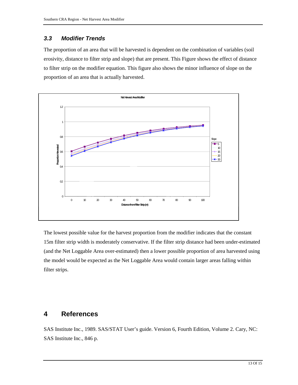## *3.3 Modifier Trends*

The proportion of an area that will be harvested is dependent on the combination of variables (soil erosivity, distance to filter strip and slope) that are present. This Figure shows the effect of distance to filter strip on the modifier equation. This figure also shows the minor influence of slope on the proportion of an area that is actually harvested.



The lowest possible value for the harvest proportion from the modifier indicates that the constant 15m filter strip width is moderately conservative. If the filter strip distance had been under-estimated (and the Net Loggable Area over-estimated) then a lower possible proportion of area harvested using the model would be expected as the Net Loggable Area would contain larger areas falling within filter strips.

# **4 References**

SAS Institute Inc., 1989. SAS/STAT User's guide. Version 6, Fourth Edition, Volume 2. Cary, NC: SAS Institute Inc., 846 p.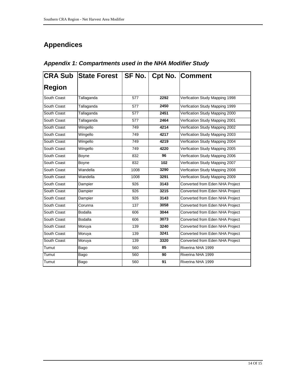# **Appendices**

| <b>CRA Sub</b> | State Forest   SF No.   Cpt No.   Comment |      |      |                                 |
|----------------|-------------------------------------------|------|------|---------------------------------|
| <b>Region</b>  |                                           |      |      |                                 |
| South Coast    | Tallaganda                                | 577  | 2292 | Verfication Study Mapping 1998  |
| South Coast    | Tallaganda                                | 577  | 2450 | Verfication Study Mapping 1999  |
| South Coast    | Tallaganda                                | 577  | 2451 | Verfication Study Mapping 2000  |
| South Coast    | Tallaganda                                | 577  | 2464 | Verfication Study Mapping 2001  |
| South Coast    | Wingello                                  | 749  | 4214 | Verfication Study Mapping 2002  |
| South Coast    | Wingello                                  | 749  | 4217 | Verfication Study Mapping 2003  |
| South Coast    | Wingello                                  | 749  | 4219 | Verfication Study Mapping 2004  |
| South Coast    | Wingello                                  | 749  | 4220 | Verfication Study Mapping 2005  |
| South Coast    | Boyne                                     | 832  | 96   | Verfication Study Mapping 2006  |
| South Coast    | Boyne                                     | 832  | 102  | Verfication Study Mapping 2007  |
| South Coast    | Wandella                                  | 1008 | 3290 | Verfication Study Mapping 2008  |
| South Coast    | Wandella                                  | 1008 | 3291 | Verfication Study Mapping 2009  |
| South Coast    | Dampier                                   | 926  | 3143 | Converted from Eden NHA Project |
| South Coast    | Dampier                                   | 926  | 3215 | Converted from Eden NHA Project |
| South Coast    | Dampier                                   | 926  | 3143 | Converted from Eden NHA Project |
| South Coast    | Corunna                                   | 137  | 3058 | Converted from Eden NHA Project |
| South Coast    | <b>Bodalla</b>                            | 606  | 3044 | Converted from Eden NHA Project |
| South Coast    | <b>Bodalla</b>                            | 606  | 3073 | Converted from Eden NHA Project |
| South Coast    | Moruya                                    | 139  | 3240 | Converted from Eden NHA Project |
| South Coast    | Moruya                                    | 139  | 3241 | Converted from Eden NHA Project |
| South Coast    | Moruya                                    | 139  | 3320 | Converted from Eden NHA Project |
| Tumut          | Bago                                      | 560  | 85   | Riverina NHA 1999               |
| Tumut          | Bago                                      | 560  | 90   | Riverina NHA 1999               |
| Tumut          | Bago                                      | 560  | 91   | Riverina NHA 1999               |

# *Appendix 1: Compartments used in the NHA Modifier Study*